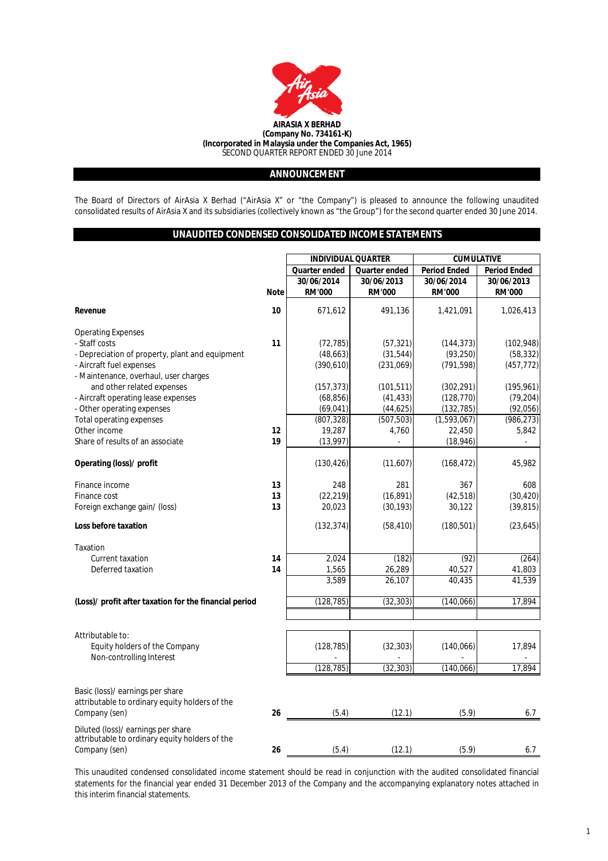

## **ANNOUNCEMENT**

The Board of Directors of AirAsia X Berhad ("AirAsia X" or "the Company") is pleased to announce the following unaudited consolidated results of AirAsia X and its subsidiaries (collectively known as "the Group") for the second quarter ended 30 June 2014.

## **UNAUDITED CONDENSED CONSOLIDATED INCOME STATEMENTS**

| Quarter ended<br>Quarter ended<br><b>Period Ended</b><br>30/06/2014<br>30/06/2013<br>30/06/2014<br><b>Note</b><br><b>RM'000</b><br><b>RM'000</b><br><b>RM'000</b><br>10<br>671,612<br>491,136<br>1,421,091<br>Revenue<br><b>Operating Expenses</b> | <b>Period Ended</b><br>30/06/2013<br><b>RM'000</b><br>1,026,413 |
|----------------------------------------------------------------------------------------------------------------------------------------------------------------------------------------------------------------------------------------------------|-----------------------------------------------------------------|
|                                                                                                                                                                                                                                                    |                                                                 |
|                                                                                                                                                                                                                                                    |                                                                 |
|                                                                                                                                                                                                                                                    |                                                                 |
|                                                                                                                                                                                                                                                    |                                                                 |
|                                                                                                                                                                                                                                                    |                                                                 |
| 11                                                                                                                                                                                                                                                 |                                                                 |
| - Staff costs<br>(57, 321)<br>(72, 785)<br>(144, 373)                                                                                                                                                                                              | (102, 948)                                                      |
| - Depreciation of property, plant and equipment<br>(48, 663)<br>(31, 544)<br>(93, 250)                                                                                                                                                             | (58, 332)                                                       |
| - Aircraft fuel expenses<br>(390, 610)<br>(791, 598)<br>(231,069)<br>- Maintenance, overhaul, user charges                                                                                                                                         | (457, 772)                                                      |
| and other related expenses<br>(101, 511)<br>(302, 291)<br>(157, 373)                                                                                                                                                                               | (195, 961)                                                      |
| (41, 433)<br>(128, 770)<br>- Aircraft operating lease expenses<br>(68, 856)                                                                                                                                                                        | (79, 204)                                                       |
| - Other operating expenses<br>(69, 041)<br>(44, 625)<br>(132, 785)                                                                                                                                                                                 | (92,056)                                                        |
| (507, 503)<br><b>Total operating expenses</b><br>(807, 328)<br>(1,593,067)                                                                                                                                                                         | (986, 273)                                                      |
| Other income<br>19,287<br>22,450<br>12<br>4,760                                                                                                                                                                                                    | 5,842                                                           |
| 19<br>Share of results of an associate<br>(18, 946)<br>(13, 997)                                                                                                                                                                                   |                                                                 |
|                                                                                                                                                                                                                                                    |                                                                 |
| Operating (loss)/ profit<br>(130, 426)<br>(11,607)<br>(168, 472)                                                                                                                                                                                   | 45,982                                                          |
| 13<br>248<br>281<br>367<br>Finance income                                                                                                                                                                                                          | 608                                                             |
| 13<br>(22, 219)<br>(16, 891)<br>(42, 518)<br>Finance cost                                                                                                                                                                                          | (30, 420)                                                       |
| 13<br>20,023<br>(30, 193)<br>30,122<br>Foreign exchange gain/ (loss)                                                                                                                                                                               | (39, 815)                                                       |
| Loss before taxation<br>(132, 374)<br>(58, 410)<br>(180, 501)                                                                                                                                                                                      | (23, 645)                                                       |
| Taxation                                                                                                                                                                                                                                           |                                                                 |
| 2,024<br>(92)<br>Current taxation<br>14<br>(182)                                                                                                                                                                                                   | (264)                                                           |
| Deferred taxation<br>14<br>26,289<br>1,565<br>40,527                                                                                                                                                                                               | 41,803                                                          |
| 3,589<br>26,107<br>40.435                                                                                                                                                                                                                          | 41,539                                                          |
| (32, 303)<br>(Loss)/ profit after taxation for the financial period<br>(128, 785)<br>(140,066)                                                                                                                                                     | 17.894                                                          |
|                                                                                                                                                                                                                                                    |                                                                 |
|                                                                                                                                                                                                                                                    |                                                                 |
| Attributable to:                                                                                                                                                                                                                                   |                                                                 |
| Equity holders of the Company<br>(32, 303)<br>(140,066)<br>(128, 785)                                                                                                                                                                              | 17,894                                                          |
| Non-controlling Interest<br>(128, 785)<br>(32, 303)<br>(140,066)                                                                                                                                                                                   | 17,894                                                          |
|                                                                                                                                                                                                                                                    |                                                                 |
| Basic (loss)/ earnings per share                                                                                                                                                                                                                   |                                                                 |
| attributable to ordinary equity holders of the                                                                                                                                                                                                     |                                                                 |
| Company (sen)<br>26<br>(5.4)<br>(12.1)<br>(5.9)                                                                                                                                                                                                    | 6.7                                                             |
|                                                                                                                                                                                                                                                    |                                                                 |
| Diluted (loss)/ earnings per share<br>attributable to ordinary equity holders of the                                                                                                                                                               |                                                                 |
| 26<br>(12.1)<br>(5.9)<br>Company (sen)<br>(5.4)                                                                                                                                                                                                    | 6.7                                                             |

This unaudited condensed consolidated income statement should be read in conjunction with the audited consolidated financial statements for the financial year ended 31 December 2013 of the Company and the accompanying explanatory notes attached in this interim financial statements.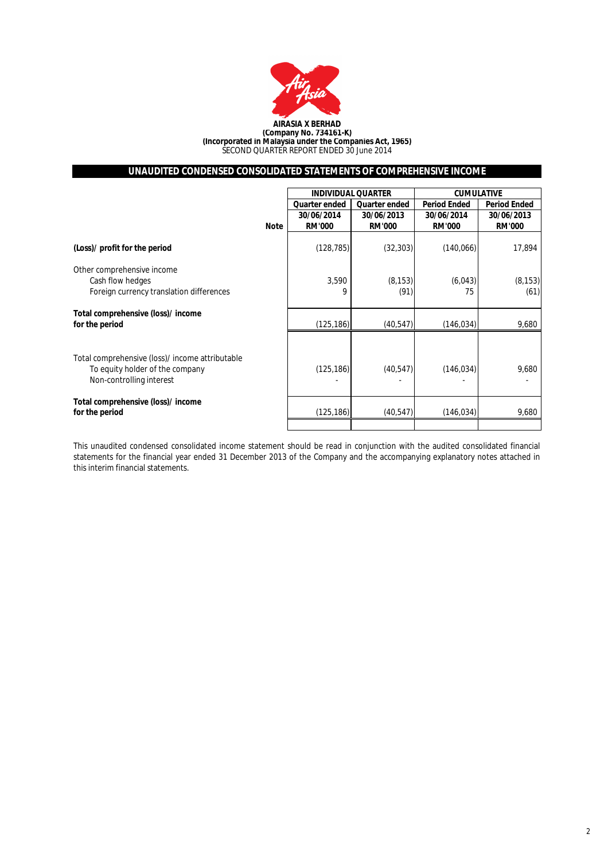

## **UNAUDITED CONDENSED CONSOLIDATED STATEMENTS OF COMPREHENSIVE INCOME**

|                                                                                                                |             | <b>INDIVIDUAL QUARTER</b>   |                             | <b>CUMULATIVE</b>           |                             |
|----------------------------------------------------------------------------------------------------------------|-------------|-----------------------------|-----------------------------|-----------------------------|-----------------------------|
|                                                                                                                |             | <b>Quarter ended</b>        | <b>Quarter ended</b>        | <b>Period Ended</b>         | <b>Period Ended</b>         |
|                                                                                                                | <b>Note</b> | 30/06/2014<br><b>RM'000</b> | 30/06/2013<br><b>RM'000</b> | 30/06/2014<br><b>RM'000</b> | 30/06/2013<br><b>RM'000</b> |
| (Loss)/ profit for the period                                                                                  |             | (128, 785)                  | (32, 303)                   | (140,066)                   | 17,894                      |
| Other comprehensive income<br>Cash flow hedges<br>Foreign currency translation differences                     |             | 3,590<br>9                  | (8, 153)<br>(91)            | (6,043)<br>75               | (8, 153)<br>(61)            |
| Total comprehensive (loss)/ income<br>for the period                                                           |             | (125, 186)                  | (40, 547)                   | (146, 034)                  | 9,680                       |
| Total comprehensive (loss)/ income attributable<br>To equity holder of the company<br>Non-controlling interest |             | (125, 186)                  | (40, 547)                   | (146, 034)                  | 9,680                       |
| Total comprehensive (loss)/ income<br>for the period                                                           |             | (125, 186)                  | (40, 547)                   | (146, 034)                  | 9,680                       |
|                                                                                                                |             |                             |                             |                             |                             |

This unaudited condensed consolidated income statement should be read in conjunction with the audited consolidated financial statements for the financial year ended 31 December 2013 of the Company and the accompanying explanatory notes attached in this interim financial statements.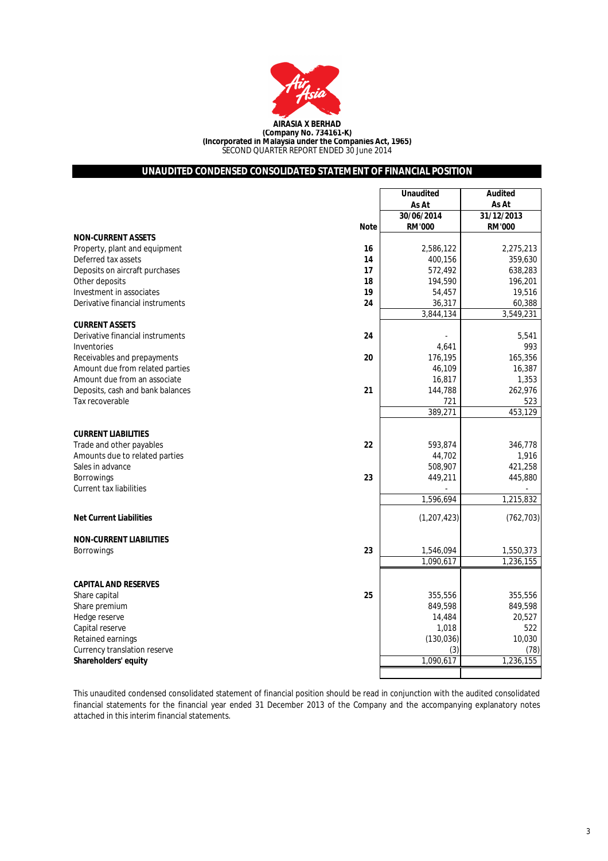

# **UNAUDITED CONDENSED CONSOLIDATED STATEMENT OF FINANCIAL POSITION**

|                                        | <b>Unaudited</b> | <b>Audited</b> |
|----------------------------------------|------------------|----------------|
|                                        | As At            | As At          |
|                                        | 30/06/2014       | 31/12/2013     |
| <b>Note</b>                            | <b>RM'000</b>    | <b>RM'000</b>  |
| <b>NON-CURRENT ASSETS</b>              |                  |                |
| Property, plant and equipment<br>16    | 2,586,122        | 2,275,213      |
| Deferred tax assets<br>14              | 400,156          | 359,630        |
| Deposits on aircraft purchases<br>17   | 572,492          | 638,283        |
| Other deposits<br>18                   | 194,590          | 196,201        |
| Investment in associates<br>19         | 54,457           | 19,516         |
| 24<br>Derivative financial instruments | 36,317           | 60,388         |
|                                        | 3,844,134        | 3,549,231      |
| <b>CURRENT ASSETS</b>                  |                  |                |
| Derivative financial instruments<br>24 |                  | 5,541          |
| Inventories                            | 4,641            | 993            |
| 20<br>Receivables and prepayments      | 176,195          | 165,356        |
| Amount due from related parties        | 46,109           | 16,387         |
| Amount due from an associate           | 16,817           | 1,353          |
| Deposits, cash and bank balances<br>21 | 144,788          | 262,976        |
| Tax recoverable                        | 721              | 523            |
|                                        | 389,271          | 453,129        |
|                                        |                  |                |
| <b>CURRENT LIABILITIES</b>             |                  |                |
| 22<br>Trade and other payables         | 593,874          | 346,778        |
| Amounts due to related parties         | 44,702           | 1,916          |
| Sales in advance                       | 508,907          | 421,258        |
| 23<br>Borrowings                       | 449,211          | 445,880        |
| <b>Current tax liabilities</b>         |                  |                |
|                                        | 1,596,694        | 1,215,832      |
|                                        |                  |                |
| <b>Net Current Liabilities</b>         | (1, 207, 423)    | (762, 703)     |
| <b>NON-CURRENT LIABILITIES</b>         |                  |                |
| 23<br><b>Borrowings</b>                | 1,546,094        | 1,550,373      |
|                                        | 1,090,617        | 1,236,155      |
|                                        |                  |                |
| <b>CAPITAL AND RESERVES</b>            |                  |                |
| 25<br>Share capital                    | 355,556          | 355,556        |
| Share premium                          | 849,598          | 849,598        |
| Hedge reserve                          | 14,484           | 20,527         |
| Capital reserve                        | 1,018            | 522            |
| Retained earnings                      | (130, 036)       | 10,030         |
| Currency translation reserve           | (3)              | (78)           |
| Shareholders' equity                   | 1.090.617        | 1,236,155      |
|                                        |                  |                |
|                                        |                  |                |

This unaudited condensed consolidated statement of financial position should be read in conjunction with the audited consolidated financial statements for the financial year ended 31 December 2013 of the Company and the accompanying explanatory notes attached in this interim financial statements.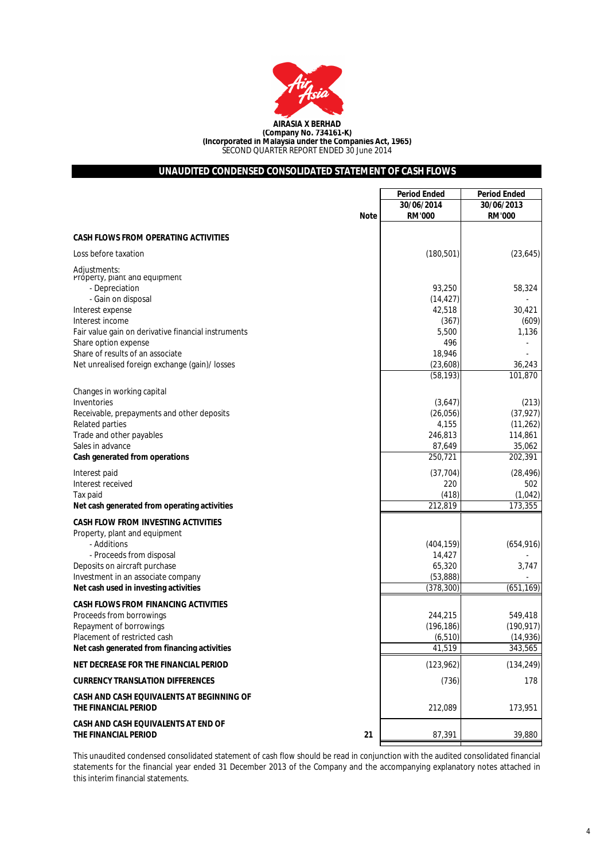

## **UNAUDITED CONDENSED CONSOLIDATED STATEMENT OF CASH FLOWS**

|                                                                              | <b>Period Ended</b> | <b>Period Ended</b>  |
|------------------------------------------------------------------------------|---------------------|----------------------|
|                                                                              | 30/06/2014          | 30/06/2013           |
| <b>Note</b>                                                                  | <b>RM'000</b>       | <b>RM'000</b>        |
| <b>CASH FLOWS FROM OPERATING ACTIVITIES</b>                                  |                     |                      |
| Loss before taxation                                                         | (180, 501)          | (23, 645)            |
| Adjustments:<br>Próperty, plant and equipment<br>- Depreciation              | 93,250              | 58,324               |
| - Gain on disposal                                                           | (14, 427)           |                      |
| Interest expense                                                             | 42,518              | 30,421               |
| Interest income<br>Fair value gain on derivative financial instruments       | (367)<br>5,500      | (609)<br>1,136       |
| Share option expense                                                         | 496                 |                      |
| Share of results of an associate                                             | 18,946              |                      |
| Net unrealised foreign exchange (gain)/ losses                               | (23, 608)           | 36,243               |
|                                                                              | (58, 193)           | 101,870              |
| Changes in working capital<br>Inventories                                    | (3,647)             | (213)                |
| Receivable, prepayments and other deposits                                   | (26, 056)           | (37, 927)            |
| <b>Related parties</b>                                                       | 4,155               | (11, 262)            |
| Trade and other payables                                                     | 246,813             | 114,861              |
| Sales in advance                                                             | 87,649              | 35,062               |
| Cash generated from operations                                               | 250,721             | 202,391              |
| Interest paid                                                                | (37, 704)           | (28, 496)            |
| Interest received                                                            | 220                 | 502                  |
| Tax paid<br>Net cash generated from operating activities                     | (418)<br>212,819    | (1,042)<br>173,355   |
|                                                                              |                     |                      |
| <b>CASH FLOW FROM INVESTING ACTIVITIES</b>                                   |                     |                      |
| Property, plant and equipment<br>- Additions                                 | (404, 159)          | (654, 916)           |
| - Proceeds from disposal                                                     | 14,427              |                      |
| Deposits on aircraft purchase                                                | 65,320              | 3,747                |
| Investment in an associate company                                           | (53, 888)           |                      |
| Net cash used in investing activities                                        | (378, 300)          | (651, 169)           |
| <b>CASH FLOWS FROM FINANCING ACTIVITIES</b>                                  |                     |                      |
| Proceeds from borrowings                                                     | 244,215             | 549,418              |
| Repayment of borrowings                                                      | (196, 186)          | (190, 917)           |
| Placement of restricted cash<br>Net cash generated from financing activities | (6, 510)<br>41,519  | (14, 936)<br>343,565 |
| NET DECREASE FOR THE FINANCIAL PERIOD                                        | (123, 962)          | (134, 249)           |
| <b>CURRENCY TRANSLATION DIFFERENCES</b>                                      | (736)               | 178                  |
| CASH AND CASH EQUIVALENTS AT BEGINNING OF<br>THE FINANCIAL PERIOD            | 212,089             | 173,951              |
| CASH AND CASH EQUIVALENTS AT END OF<br>THE FINANCIAL PERIOD<br>21            | 87,391              | 39,880               |

This unaudited condensed consolidated statement of cash flow should be read in conjunction with the audited consolidated financial statements for the financial year ended 31 December 2013 of the Company and the accompanying explanatory notes attached in this interim financial statements.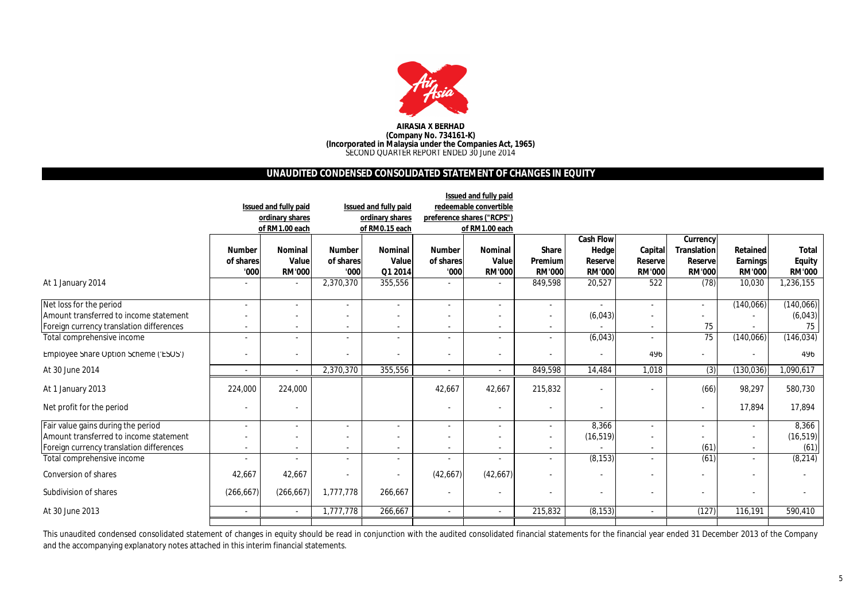

#### **AIRASIA X BERHAD (Company No. 734161-K) (Incorporated in Malaysia under the Companies Act, 1965)** SECOND QUARTER REPORT ENDED 30 June 2014

## **UNAUDITED CONDENSED CONSOLIDATED STATEMENT OF CHANGES IN EQUITY**

|                                          |                          |                          |                          |                          |                          | Issued and fully paid      |                          |                          |                          |                          |                          |               |
|------------------------------------------|--------------------------|--------------------------|--------------------------|--------------------------|--------------------------|----------------------------|--------------------------|--------------------------|--------------------------|--------------------------|--------------------------|---------------|
|                                          |                          | Issued and fully paid    |                          | Issued and fully paid    |                          | redeemable convertible     |                          |                          |                          |                          |                          |               |
|                                          |                          | ordinary shares          |                          | ordinary shares          |                          | preference shares ("RCPS") |                          |                          |                          |                          |                          |               |
|                                          |                          | of RM1.00 each           |                          | of RM0.15 each           |                          | of RM1.00 each             |                          |                          |                          |                          |                          |               |
|                                          |                          |                          |                          |                          |                          |                            |                          | <b>Cash Flow</b>         |                          | <b>Currency</b>          |                          |               |
|                                          | <b>Number</b>            | <b>Nominal</b>           | <b>Number</b>            | <b>Nominal</b>           | <b>Number</b>            | <b>Nominal</b>             | <b>Share</b>             | <b>Hedge</b>             | Capital                  | <b>Translation</b>       | Retained                 | <b>Total</b>  |
|                                          | of shares                | Value                    | of shares                | Value                    | of shares                | Value                      | Premium                  | <b>Reserve</b>           | <b>Reserve</b>           | Reserve                  | <b>Earnings</b>          | <b>Equity</b> |
|                                          | '000                     | <b>RM'000</b>            | '000                     | Q1 2014                  | '000                     | <b>RM'000</b>              | <b>RM'000</b>            | <b>RM'000</b>            | <b>RM'000</b>            | <b>RM'000</b>            | <b>RM'000</b>            | <b>RM'000</b> |
| At 1 January 2014                        |                          | $\overline{\phantom{a}}$ | 2,370,370                | 355,556                  | $\overline{a}$           | $\overline{\phantom{a}}$   | 849,598                  | 20,527                   | 522                      | (78)                     | 10,030                   | 1,236,155     |
| Net loss for the period                  |                          | $\overline{\phantom{a}}$ | $\overline{\phantom{a}}$ | $\sim$                   | $\blacksquare$           | $\overline{\phantom{a}}$   |                          |                          | $\overline{\phantom{a}}$ | $\overline{\phantom{a}}$ | (140, 066)               | (140, 066)    |
| Amount transferred to income statement   |                          | $\overline{\phantom{a}}$ |                          | $\overline{\phantom{a}}$ |                          | $\overline{\phantom{a}}$   |                          | (6,043)                  | $\blacksquare$           |                          |                          | (6,043)       |
| Foreign currency translation differences |                          |                          |                          | $\overline{\phantom{a}}$ |                          | $\overline{\phantom{a}}$   |                          |                          | $\overline{\phantom{a}}$ | 75                       |                          | 75            |
| Total comprehensive income               | $\overline{\phantom{a}}$ | $\overline{\phantom{a}}$ | $\overline{\phantom{a}}$ | $\overline{\phantom{a}}$ | $\overline{\phantom{a}}$ | $\overline{\phantom{a}}$   | $\overline{\phantom{a}}$ | (6,043)                  | $\overline{\phantom{a}}$ | 75                       | (140, 066)               | (146, 034)    |
| Employee Share Option Scheme ('ESOS')    |                          | $\overline{\phantom{a}}$ | $\overline{\phantom{a}}$ |                          | $\overline{\phantom{a}}$ | $\overline{\phantom{a}}$   |                          | $\overline{\phantom{a}}$ | 496                      |                          | $\overline{\phantom{a}}$ | 496           |
| At 30 June 2014                          | $\overline{\phantom{0}}$ | $\overline{\phantom{a}}$ | 2,370,370                | 355,556                  | $\overline{\phantom{a}}$ | $\overline{\phantom{a}}$   | 849,598                  | 14,484                   | 1,018                    | (3)                      | (130, 036)               | 1,090,617     |
| At 1 January 2013                        | 224,000                  | 224,000                  |                          |                          | 42,667                   | 42,667                     | 215,832                  |                          | $\overline{\phantom{a}}$ | (66)                     | 98,297                   | 580,730       |
| Net profit for the period                |                          | $\overline{\phantom{a}}$ |                          |                          | $\overline{\phantom{a}}$ | $\overline{\phantom{a}}$   |                          |                          |                          | $\blacksquare$           | 17,894                   | 17,894        |
| Fair value gains during the period       |                          |                          |                          | $\overline{\phantom{a}}$ |                          |                            |                          | 8,366                    | $\overline{\phantom{a}}$ |                          | $\overline{\phantom{a}}$ | 8,366         |
| Amount transferred to income statement   |                          | $\overline{\phantom{a}}$ |                          | $\overline{\phantom{a}}$ |                          |                            |                          | (16, 519)                | $\overline{\phantom{a}}$ |                          | $\blacksquare$           | (16, 519)     |
| Foreign currency translation differences |                          | $\overline{\phantom{a}}$ | $\overline{\phantom{a}}$ | $\overline{\phantom{a}}$ | $\overline{\phantom{a}}$ | $\overline{\phantom{a}}$   | $\overline{\phantom{a}}$ |                          | $\overline{\phantom{a}}$ | (61)                     | $\sim$                   | (61)          |
| Total comprehensive income               |                          |                          | $\overline{\phantom{a}}$ | $\overline{\phantom{a}}$ |                          | $\overline{\phantom{a}}$   |                          | (8, 153)                 | $\blacksquare$           | (61)                     | $\overline{\phantom{a}}$ | (8,214)       |
| Conversion of shares                     | 42,667                   | 42,667                   | $\overline{\phantom{a}}$ | $\overline{\phantom{a}}$ | (42, 667)                | (42,667)                   |                          |                          | $\overline{\phantom{a}}$ |                          | $\overline{\phantom{a}}$ |               |
| Subdivision of shares                    | (266, 667)               | (266, 667)               | 1,777,778                | 266,667                  | $\overline{\phantom{a}}$ | $\overline{\phantom{a}}$   |                          | $\overline{\phantom{a}}$ | $\blacksquare$           | $\overline{\phantom{a}}$ | $\overline{\phantom{a}}$ |               |
| At 30 June 2013                          |                          | $\overline{\phantom{a}}$ | 1,777,778                | 266,667                  | $\overline{a}$           | $\overline{\phantom{a}}$   | 215,832                  | (8, 153)                 | $\overline{\phantom{a}}$ | (127)                    | 116,191                  | 590,410       |
|                                          |                          |                          |                          |                          |                          |                            |                          |                          |                          |                          |                          |               |

This unaudited condensed consolidated statement of changes in equity should be read in conjunction with the audited consolidated financial statements for the financial year ended 31 December 2013 of the Company and the accompanying explanatory notes attached in this interim financial statements.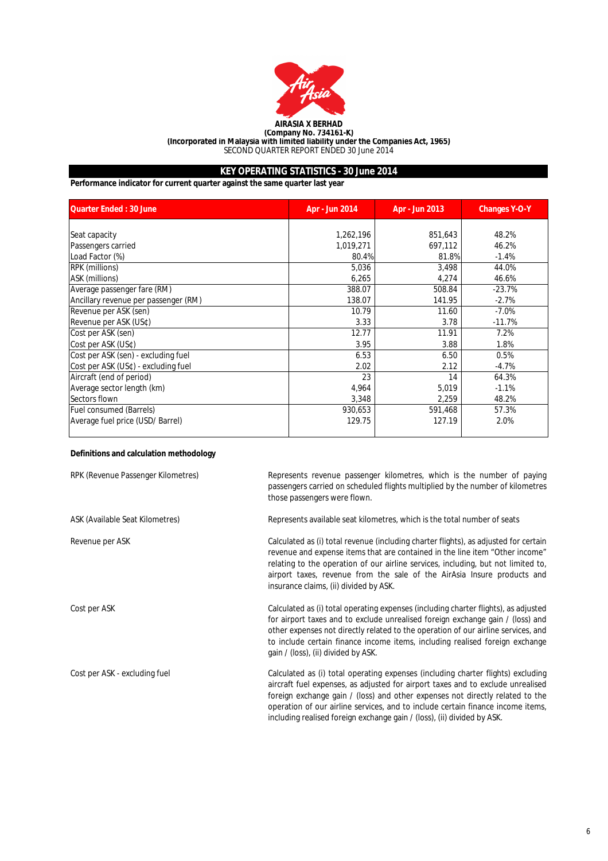

**(Company No. 734161-K) (Incorporated in Malaysia with limited liability under the Companies Act, 1965)** SECOND QUARTER REPORT ENDED 30 June 2014

# **KEY OPERATING STATISTICS - 30 June 2014**

**Performance indicator for current quarter against the same quarter last year**

| <b>Quarter Ended: 30 June</b>        | Apr - Jun 2014 | Apr - Jun 2013 | <b>Changes Y-O-Y</b> |
|--------------------------------------|----------------|----------------|----------------------|
|                                      |                |                |                      |
| Seat capacity                        | 1,262,196      | 851,643        | 48.2%                |
| Passengers carried                   | 1,019,271      | 697,112        | 46.2%                |
| Load Factor (%)                      | 80.4%          | 81.8%          | $-1.4%$              |
| <b>RPK</b> (millions)                | 5,036          | 3,498          | 44.0%                |
| ASK (millions)                       | 6,265          | 4,274          | 46.6%                |
| Average passenger fare (RM)          | 388.07         | 508.84         | $-23.7%$             |
| Ancillary revenue per passenger (RM) | 138.07         | 141.95         | $-2.7%$              |
| Revenue per ASK (sen)                | 10.79          | 11.60          | $-7.0%$              |
| Revenue per ASK (US¢)                | 3.33           | 3.78           | $-11.7%$             |
| Cost per ASK (sen)                   | 12.77          | 11.91          | 7.2%                 |
| Cost per ASK (US¢)                   | 3.95           | 3.88           | 1.8%                 |
| Cost per ASK (sen) - excluding fuel  | 6.53           | 6.50           | 0.5%                 |
| Cost per ASK (US¢) - excluding fuel  | 2.02           | 2.12           | $-4.7%$              |
| Aircraft (end of period)             | 23             | 14             | 64.3%                |
| Average sector length (km)           | 4,964          | 5,019          | $-1.1%$              |
| Sectors flown                        | 3,348          | 2,259          | 48.2%                |
| <b>Fuel consumed (Barrels)</b>       | 930,653        | 591,468        | 57.3%                |
| Average fuel price (USD/ Barrel)     | 129.75         | 127.19         | 2.0%                 |

## **Definitions and calculation methodology**

| RPK (Revenue Passenger Kilometres) | Represents revenue passenger kilometres, which is the number of paying<br>passengers carried on scheduled flights multiplied by the number of kilometres<br>those passengers were flown.                                                                                                                                                                                                                           |
|------------------------------------|--------------------------------------------------------------------------------------------------------------------------------------------------------------------------------------------------------------------------------------------------------------------------------------------------------------------------------------------------------------------------------------------------------------------|
| ASK (Available Seat Kilometres)    | Represents available seat kilometres, which is the total number of seats                                                                                                                                                                                                                                                                                                                                           |
| Revenue per ASK                    | Calculated as (i) total revenue (including charter flights), as adjusted for certain<br>revenue and expense items that are contained in the line item "Other income"<br>relating to the operation of our airline services, including, but not limited to,<br>airport taxes, revenue from the sale of the AirAsia Insure products and<br>insurance claims, (ii) divided by ASK.                                     |
| Cost per ASK                       | Calculated as (i) total operating expenses (including charter flights), as adjusted<br>for airport taxes and to exclude unrealised foreign exchange gain / (loss) and<br>other expenses not directly related to the operation of our airline services, and<br>to include certain finance income items, including realised foreign exchange<br>gain / (loss), (ii) divided by ASK.                                  |
| Cost per ASK - excluding fuel      | Calculated as (i) total operating expenses (including charter flights) excluding<br>aircraft fuel expenses, as adjusted for airport taxes and to exclude unrealised<br>foreign exchange gain / (loss) and other expenses not directly related to the<br>operation of our airline services, and to include certain finance income items,<br>including realised foreign exchange gain / (loss), (ii) divided by ASK. |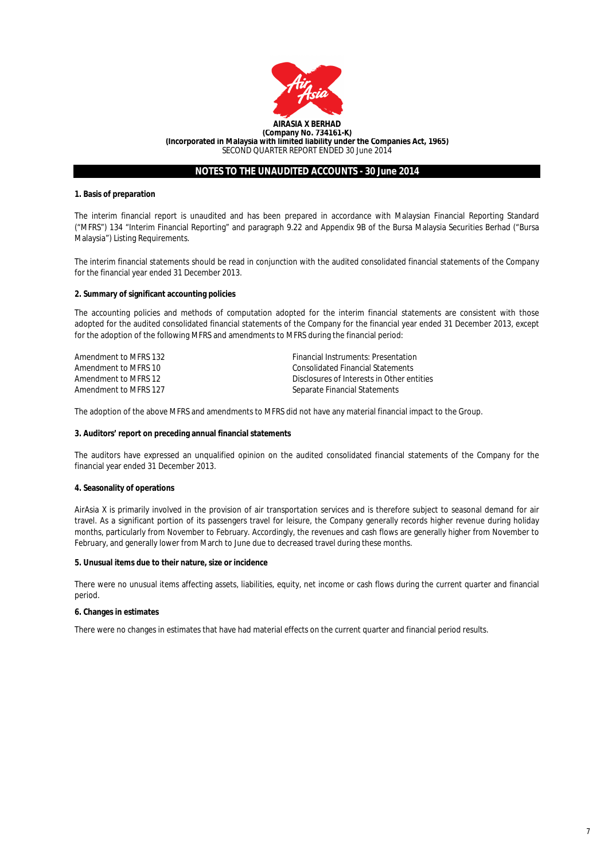

## **1. Basis of preparation**

The interim financial report is unaudited and has been prepared in accordance with Malaysian Financial Reporting Standard ("MFRS") 134 "Interim Financial Reporting" and paragraph 9.22 and Appendix 9B of the Bursa Malaysia Securities Berhad ("Bursa Malaysia") Listing Requirements.

The interim financial statements should be read in conjunction with the audited consolidated financial statements of the Company for the financial year ended 31 December 2013.

#### **2. Summary of significant accounting policies**

The accounting policies and methods of computation adopted for the interim financial statements are consistent with those adopted for the audited consolidated financial statements of the Company for the financial year ended 31 December 2013, except for the adoption of the following MFRS and amendments to MFRS during the financial period:

| Amendment to MFRS 132 | <b>Financial Instruments: Presentation</b> |
|-----------------------|--------------------------------------------|
| Amendment to MFRS 10  | Consolidated Financial Statements          |
| Amendment to MFRS 12  | Disclosures of Interests in Other entities |
| Amendment to MFRS 127 | Separate Financial Statements              |

The adoption of the above MFRS and amendments to MFRS did not have any material financial impact to the Group.

#### **3. Auditors' report on preceding annual financial statements**

The auditors have expressed an unqualified opinion on the audited consolidated financial statements of the Company for the financial year ended 31 December 2013.

## **4. Seasonality of operations**

AirAsia X is primarily involved in the provision of air transportation services and is therefore subject to seasonal demand for air travel. As a significant portion of its passengers travel for leisure, the Company generally records higher revenue during holiday months, particularly from November to February. Accordingly, the revenues and cash flows are generally higher from November to February, and generally lower from March to June due to decreased travel during these months.

#### **5. Unusual items due to their nature, size or incidence**

There were no unusual items affecting assets, liabilities, equity, net income or cash flows during the current quarter and financial period.

## **6. Changes in estimates**

There were no changes in estimates that have had material effects on the current quarter and financial period results.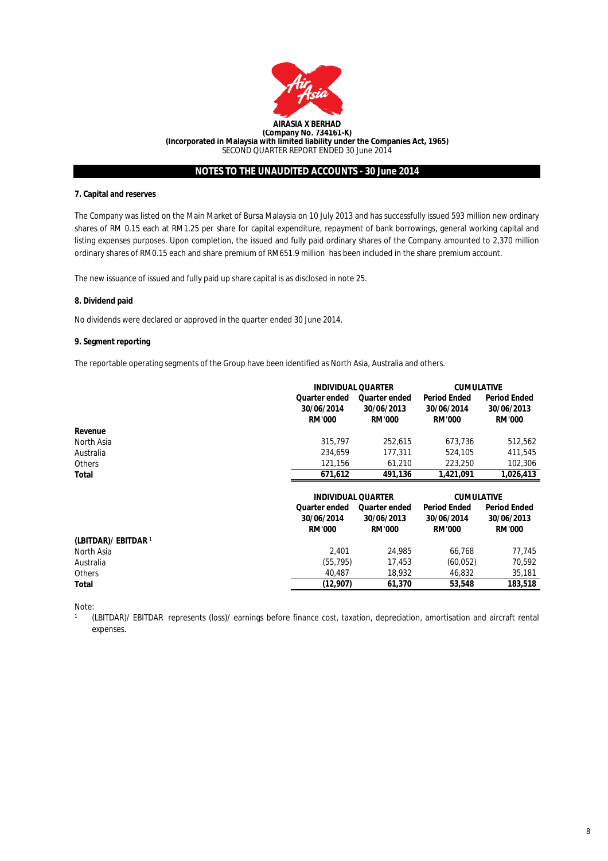

## **7. Capital and reserves**

The Company was listed on the Main Market of Bursa Malaysia on 10 July 2013 and has successfully issued 593 million new ordinary shares of RM 0.15 each at RM1.25 per share for capital expenditure, repayment of bank borrowings, general working capital and listing expenses purposes. Upon completion, the issued and fully paid ordinary shares of the Company amounted to 2,370 million ordinary shares of RM0.15 each and share premium of RM651.9 million has been included in the share premium account.

The new issuance of issued and fully paid up share capital is as disclosed in note 25.

## **8. Dividend paid**

No dividends were declared or approved in the quarter ended 30 June 2014.

#### **9. Segment reporting**

The reportable operating segments of the Group have been identified as North Asia, Australia and others.

|               |                                              | <b>INDIVIDUAL QUARTER</b>                           |                                                    | <b>CUMULATIVE</b>                                  |
|---------------|----------------------------------------------|-----------------------------------------------------|----------------------------------------------------|----------------------------------------------------|
|               | Quarter ended<br>30/06/2014<br><b>RM'000</b> | <b>Quarter ended</b><br>30/06/2013<br><b>RM'000</b> | <b>Period Ended</b><br>30/06/2014<br><b>RM'000</b> | <b>Period Ended</b><br>30/06/2013<br><b>RM'000</b> |
| Revenue       |                                              |                                                     |                                                    |                                                    |
| North Asia    | 315,797                                      | 252.615                                             | 673.736                                            | 512.562                                            |
| Australia     | 234,659                                      | 177.311                                             | 524,105                                            | 411,545                                            |
| <b>Others</b> | 121.156                                      | 61.210                                              | 223,250                                            | 102,306                                            |
| Total         | 671,612                                      | 491,136                                             | 1,421,091                                          | 1,026,413                                          |
|               |                                              |                                                     |                                                    |                                                    |

|                      |                      | <b>INDIVIDUAL QUARTER</b> |                     | <b>CUMULATIVE</b>   |
|----------------------|----------------------|---------------------------|---------------------|---------------------|
|                      | <b>Quarter ended</b> | <b>Quarter ended</b>      | <b>Period Ended</b> | <b>Period Ended</b> |
|                      | 30/06/2014           | 30/06/2013                | 30/06/2014          | 30/06/2013          |
|                      | <b>RM'000</b>        | <b>RM'000</b>             | <b>RM'000</b>       | <b>RM'000</b>       |
| (LBITDAR)/ EBITDAR 1 |                      |                           |                     |                     |
| North Asia           | 2.401                | 24,985                    | 66.768              | 77.745              |
| Australia            | (55, 795)            | 17.453                    | (60, 052)           | 70.592              |
| Others               | 40.487               | 18.932                    | 46.832              | 35,181              |
| Total                | (12,907)             | 61,370                    | 53,548              | 183,518             |

Note:

 $\mathbf{1}$ 

(LBITDAR)/ EBITDAR represents (loss)/ earnings before finance cost, taxation, depreciation, amortisation and aircraft rental expenses.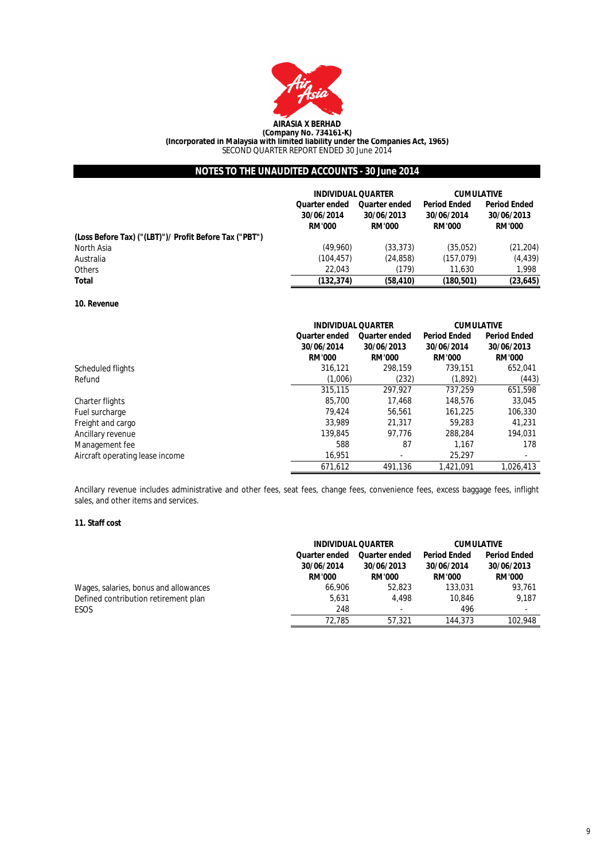

**(Company No. 734161-K) (Incorporated in Malaysia with limited liability under the Companies Act, 1965)**

SECOND QUARTER REPORT ENDED 30 June 2014

# **NOTES TO THE UNAUDITED ACCOUNTS - 30 June 2014**

|                                                        | <b>INDIVIDUAL QUARTER</b>                    |                             | <b>CUMULATIVE</b>           |                             |  |
|--------------------------------------------------------|----------------------------------------------|-----------------------------|-----------------------------|-----------------------------|--|
|                                                        | <b>Quarter ended</b><br><b>Quarter ended</b> |                             | <b>Period Ended</b>         | <b>Period Ended</b>         |  |
|                                                        | 30/06/2014<br><b>RM'000</b>                  | 30/06/2013<br><b>RM'000</b> | 30/06/2014<br><b>RM'000</b> | 30/06/2013<br><b>RM'000</b> |  |
| (Loss Before Tax) ("(LBT)")/ Profit Before Tax ("PBT") |                                              |                             |                             |                             |  |
| North Asia                                             | (49,960)                                     | (33, 373)                   | (35,052)                    | (21, 204)                   |  |
| Australia                                              | (104, 457)                                   | (24, 858)                   | (157, 079)                  | (4, 439)                    |  |
| <b>Others</b>                                          | 22.043                                       | (179)                       | 11.630                      | 1.998                       |  |
| <b>Total</b>                                           | (132.374)                                    | (58, 410)                   | (180, 501)                  | (23, 645)                   |  |

#### **10. Revenue**

|                                 | <b>INDIVIDUAL QUARTER</b>                           |                                                     | <b>CUMULATIVE</b>                                  |                                                    |
|---------------------------------|-----------------------------------------------------|-----------------------------------------------------|----------------------------------------------------|----------------------------------------------------|
|                                 | <b>Quarter ended</b><br>30/06/2014<br><b>RM'000</b> | <b>Quarter ended</b><br>30/06/2013<br><b>RM'000</b> | <b>Period Ended</b><br>30/06/2014<br><b>RM'000</b> | <b>Period Ended</b><br>30/06/2013<br><b>RM'000</b> |
| Scheduled flights               | 316.121                                             | 298.159                                             | 739.151                                            | 652.041                                            |
| Refund                          | (1,006)                                             | (232)                                               | (1,892)                                            | (443)                                              |
|                                 | 315,115                                             | 297.927                                             | 737.259                                            | 651,598                                            |
| Charter flights                 | 85,700                                              | 17.468                                              | 148,576                                            | 33,045                                             |
| Fuel surcharge                  | 79.424                                              | 56.561                                              | 161,225                                            | 106,330                                            |
| Freight and cargo               | 33.989                                              | 21.317                                              | 59.283                                             | 41.231                                             |
| Ancillary revenue               | 139.845                                             | 97.776                                              | 288,284                                            | 194.031                                            |
| Management fee                  | 588                                                 | 87                                                  | 1.167                                              | 178                                                |
| Aircraft operating lease income | 16.951                                              |                                                     | 25.297                                             |                                                    |
|                                 | 671.612                                             | 491.136                                             | 1.421.091                                          | 1.026.413                                          |

Ancillary revenue includes administrative and other fees, seat fees, change fees, convenience fees, excess baggage fees, inflight sales, and other items and services.

## **11. Staff cost**

|                                       |                                                     | <b>INDIVIDUAL QUARTER</b>                           |                                                    | <b>CUMULATIVE</b>                                  |
|---------------------------------------|-----------------------------------------------------|-----------------------------------------------------|----------------------------------------------------|----------------------------------------------------|
|                                       | <b>Quarter ended</b><br>30/06/2014<br><b>RM'000</b> | <b>Quarter ended</b><br>30/06/2013<br><b>RM'000</b> | <b>Period Ended</b><br>30/06/2014<br><b>RM'000</b> | <b>Period Ended</b><br>30/06/2013<br><b>RM'000</b> |
| Wages, salaries, bonus and allowances | 66.906                                              | 52,823                                              | 133.031                                            | 93.761                                             |
| Defined contribution retirement plan  | 5.631                                               | 4.498                                               | 10.846                                             | 9.187                                              |
| ESOS                                  | 248                                                 | $\overline{\phantom{a}}$                            | 496                                                | $\overline{\phantom{a}}$                           |
|                                       | 72.785                                              | 57.321                                              | 144,373                                            | 102.948                                            |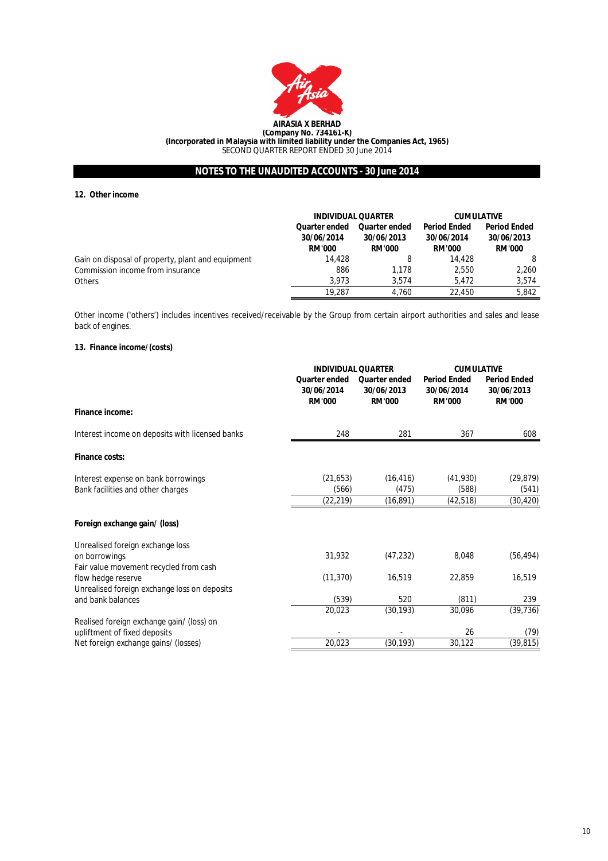

#### **12. Other income**

|                                                   |                                                     | <b>INDIVIDUAL QUARTER</b>                           |                                                    | <b>CUMULATIVE</b>                                  |
|---------------------------------------------------|-----------------------------------------------------|-----------------------------------------------------|----------------------------------------------------|----------------------------------------------------|
|                                                   | <b>Quarter ended</b><br>30/06/2014<br><b>RM'000</b> | <b>Quarter ended</b><br>30/06/2013<br><b>RM'000</b> | <b>Period Ended</b><br>30/06/2014<br><b>RM'000</b> | <b>Period Ended</b><br>30/06/2013<br><b>RM'000</b> |
| Gain on disposal of property, plant and equipment | 14,428                                              | 8                                                   | 14.428                                             |                                                    |
| Commission income from insurance                  | 886                                                 | 1.178                                               | 2.550                                              | 2.260                                              |
| <b>Others</b>                                     | 3.973                                               | 3.574                                               | 5.472                                              | 3,574                                              |
|                                                   | 19.287                                              | 4.760                                               | 22.450                                             | 5,842                                              |

Other income ('others') includes incentives received/receivable by the Group from certain airport authorities and sales and lease back of engines.

## **13. Finance income/(costs)**

|                                                 |                                              | <b>INDIVIDUAL QUARTER</b>                           |                                                    | <b>CUMULATIVE</b>                                  |  |
|-------------------------------------------------|----------------------------------------------|-----------------------------------------------------|----------------------------------------------------|----------------------------------------------------|--|
|                                                 | Quarter ended<br>30/06/2014<br><b>RM'000</b> | <b>Quarter ended</b><br>30/06/2013<br><b>RM'000</b> | <b>Period Ended</b><br>30/06/2014<br><b>RM'000</b> | <b>Period Ended</b><br>30/06/2013<br><b>RM'000</b> |  |
| Finance income:                                 |                                              |                                                     |                                                    |                                                    |  |
| Interest income on deposits with licensed banks | 248                                          | 281                                                 | 367                                                | 608                                                |  |
| Finance costs:                                  |                                              |                                                     |                                                    |                                                    |  |
| Interest expense on bank borrowings             | (21, 653)                                    | (16, 416)                                           | (41,930)                                           | (29, 879)                                          |  |
| Bank facilities and other charges               | (566)                                        | (475)                                               | (588)                                              | (541)                                              |  |
|                                                 | (22, 219)                                    | (16, 891)                                           | (42, 518)                                          | (30,420)                                           |  |
| Foreign exchange gain/ (loss)                   |                                              |                                                     |                                                    |                                                    |  |
| Unrealised foreign exchange loss                |                                              |                                                     |                                                    |                                                    |  |
| on borrowings                                   | 31,932                                       | (47, 232)                                           | 8,048                                              | (56, 494)                                          |  |
| Fair value movement recycled from cash          |                                              |                                                     |                                                    |                                                    |  |
| flow hedge reserve                              | (11, 370)                                    | 16,519                                              | 22,859                                             | 16,519                                             |  |
| Unrealised foreign exchange loss on deposits    |                                              |                                                     |                                                    |                                                    |  |
| and bank balances                               | (539)                                        | 520                                                 | (811)                                              | 239                                                |  |
|                                                 | 20,023                                       | (30, 193)                                           | 30,096                                             | (39, 736)                                          |  |
| Realised foreign exchange gain/ (loss) on       |                                              |                                                     |                                                    |                                                    |  |
| upliftment of fixed deposits                    |                                              |                                                     | 26                                                 | (79)                                               |  |
| Net foreign exchange gains/ (losses)            | 20,023                                       | (30, 193)                                           | 30,122                                             | (39, 815)                                          |  |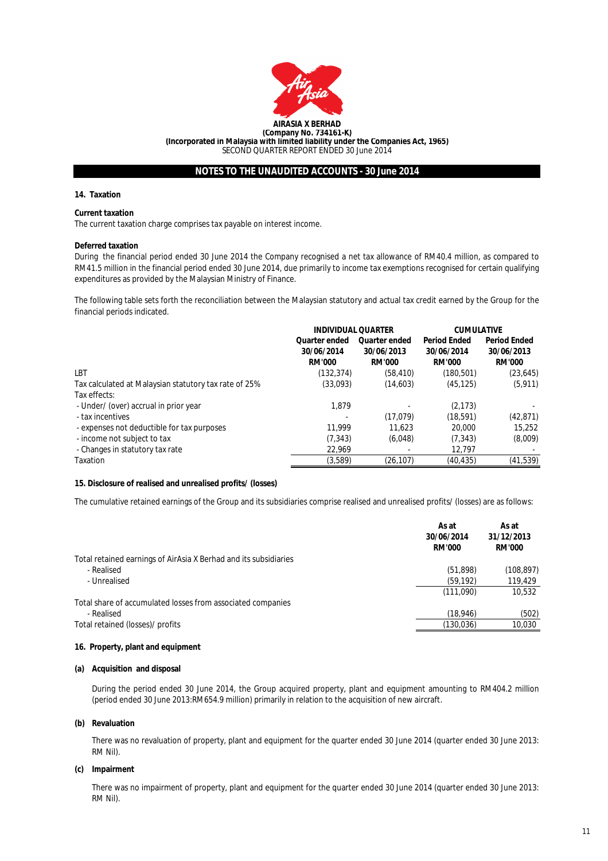

#### **14. Taxation**

#### **Current taxation**

The current taxation charge comprises tax payable on interest income.

#### **Deferred taxation**

During the financial period ended 30 June 2014 the Company recognised a net tax allowance of RM40.4 million, as compared to RM41.5 million in the financial period ended 30 June 2014, due primarily to income tax exemptions recognised for certain qualifying expenditures as provided by the Malaysian Ministry of Finance.

The following table sets forth the reconciliation between the Malaysian statutory and actual tax credit earned by the Group for the financial periods indicated.

|                                                       | <b>INDIVIDUAL QUARTER</b>                           |                                                     | <b>CUMULATIVE</b>                                  |                                                    |
|-------------------------------------------------------|-----------------------------------------------------|-----------------------------------------------------|----------------------------------------------------|----------------------------------------------------|
|                                                       | <b>Quarter ended</b><br>30/06/2014<br><b>RM'000</b> | <b>Quarter ended</b><br>30/06/2013<br><b>RM'000</b> | <b>Period Ended</b><br>30/06/2014<br><b>RM'000</b> | <b>Period Ended</b><br>30/06/2013<br><b>RM'000</b> |
| LBT                                                   | (132, 374)                                          | (58, 410)                                           | (180, 501)                                         | (23, 645)                                          |
| Tax calculated at Malaysian statutory tax rate of 25% | (33,093)                                            | (14,603)                                            | (45, 125)                                          | (5, 911)                                           |
| Tax effects:                                          |                                                     |                                                     |                                                    |                                                    |
| - Under/ (over) accrual in prior year                 | 1.879                                               |                                                     | (2, 173)                                           |                                                    |
| - tax incentives                                      |                                                     | (17, 079)                                           | (18, 591)                                          | (42, 871)                                          |
| - expenses not deductible for tax purposes            | 11.999                                              | 11.623                                              | 20,000                                             | 15.252                                             |
| - income not subject to tax                           | (7, 343)                                            | (6,048)                                             | (7, 343)                                           | (8,009)                                            |
| - Changes in statutory tax rate                       | 22,969                                              |                                                     | 12,797                                             |                                                    |
| Taxation                                              | (3,589)                                             | (26, 107)                                           | (40, 435)                                          | (41, 539)                                          |

## **15. Disclosure of realised and unrealised profits/ (losses)**

The cumulative retained earnings of the Group and its subsidiaries comprise realised and unrealised profits/ (losses) are as follows:

|                                                                  | As at<br>30/06/2014<br><b>RM'000</b> | As at<br>31/12/2013<br><b>RM'000</b> |
|------------------------------------------------------------------|--------------------------------------|--------------------------------------|
| Total retained earnings of AirAsia X Berhad and its subsidiaries |                                      |                                      |
| - Realised                                                       | (51, 898)                            | (108, 897)                           |
| - Unrealised                                                     | (59, 192)                            | 119,429                              |
|                                                                  | (111,090)                            | 10,532                               |
| Total share of accumulated losses from associated companies      |                                      |                                      |
| - Realised                                                       | (18, 946)                            | (502)                                |
| Total retained (losses)/ profits                                 | (130,036)                            | 10,030                               |
|                                                                  |                                      |                                      |

#### **16. Property, plant and equipment**

#### **(a) Acquisition and disposal**

During the period ended 30 June 2014, the Group acquired property, plant and equipment amounting to RM404.2 million (period ended 30 June 2013:RM654.9 million) primarily in relation to the acquisition of new aircraft.

#### **(b) Revaluation**

There was no revaluation of property, plant and equipment for the quarter ended 30 June 2014 (quarter ended 30 June 2013: RM Nil).

#### **(c) Impairment**

There was no impairment of property, plant and equipment for the quarter ended 30 June 2014 (quarter ended 30 June 2013: RM Nil).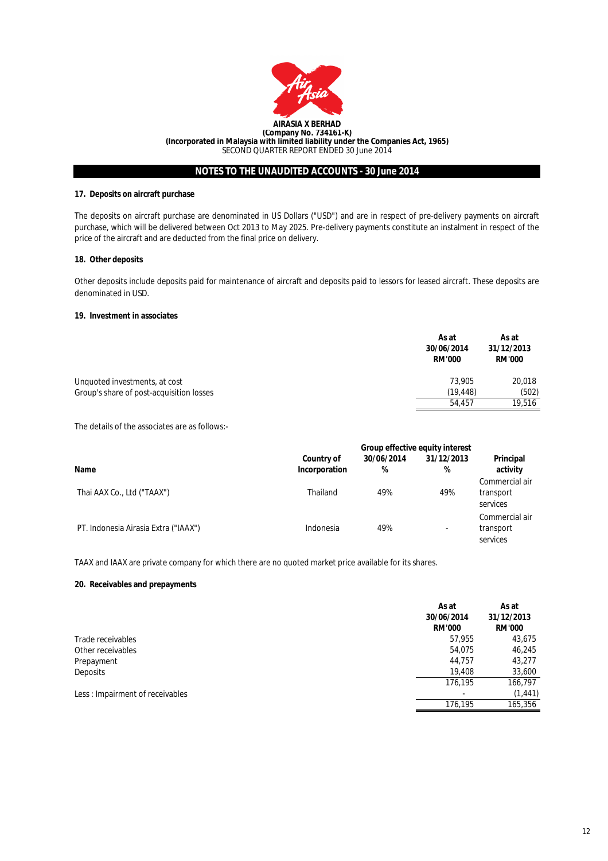

## **17. Deposits on aircraft purchase**

The deposits on aircraft purchase are denominated in US Dollars ("USD") and are in respect of pre-delivery payments on aircraft purchase, which will be delivered between Oct 2013 to May 2025. Pre-delivery payments constitute an instalment in respect of the price of the aircraft and are deducted from the final price on delivery.

#### **18. Other deposits**

Other deposits include deposits paid for maintenance of aircraft and deposits paid to lessors for leased aircraft. These deposits are denominated in USD.

#### **19. Investment in associates**

|                                          | As at<br>30/06/2014<br><b>RM'000</b> | As at<br>31/12/2013<br><b>RM'000</b> |
|------------------------------------------|--------------------------------------|--------------------------------------|
| Unquoted investments, at cost            | 73.905                               | 20,018                               |
| Group's share of post-acquisition losses | (19.448)                             | (502)                                |
|                                          | 54.457                               | 19,516                               |

The details of the associates are as follows:-

|                                      | <b>Group effective equity interest</b> |                 |                          |                                         |
|--------------------------------------|----------------------------------------|-----------------|--------------------------|-----------------------------------------|
| Name                                 | <b>Country of</b><br>Incorporation     | 30/06/2014<br>% | 31/12/2013<br>%          | Principal<br>activity                   |
| Thai AAX Co., Ltd ("TAAX")           | Thailand                               | 49%             | 49%                      | Commercial air<br>transport<br>services |
| PT. Indonesia Airasia Extra ("IAAX") | Indonesia                              | 49%             | $\overline{\phantom{a}}$ | Commercial air<br>transport<br>services |

TAAX and IAAX are private company for which there are no quoted market price available for its shares.

## **20. Receivables and prepayments**

|                                 | As at<br>30/06/2014<br><b>RM'000</b> | As at<br>31/12/2013<br><b>RM'000</b> |
|---------------------------------|--------------------------------------|--------------------------------------|
| Trade receivables               | 57,955                               | 43,675                               |
| Other receivables               | 54.075                               | 46,245                               |
| Prepayment                      | 44,757                               | 43,277                               |
| Deposits                        | 19,408                               | 33,600                               |
|                                 | 176.195                              | 166,797                              |
| Less: Impairment of receivables |                                      | (1, 441)                             |
|                                 | 176.195                              | 165,356                              |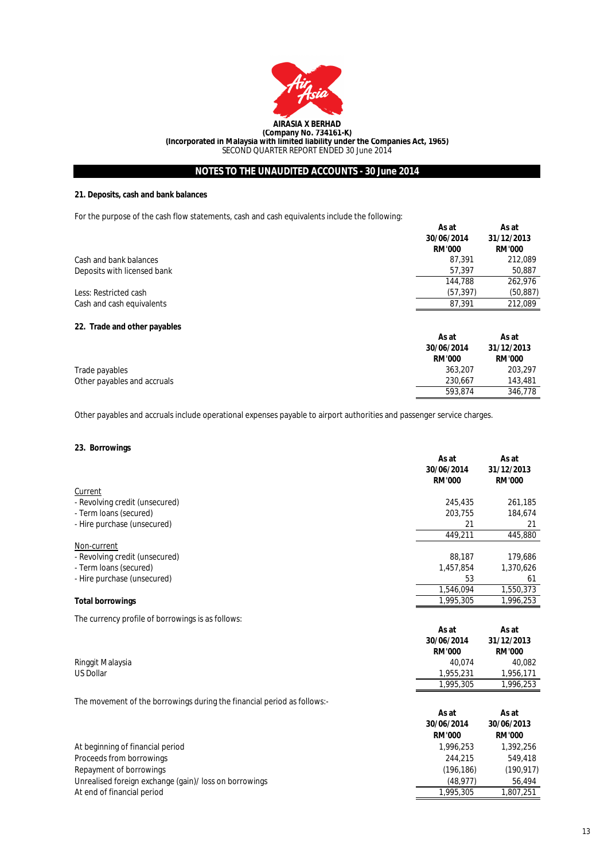

## **21. Deposits, cash and bank balances**

For the purpose of the cash flow statements, cash and cash equivalents include the following:

|                              | As at<br>30/06/2014<br><b>RM'000</b> | As at<br>31/12/2013<br><b>RM'000</b> |
|------------------------------|--------------------------------------|--------------------------------------|
| Cash and bank balances       | 87.391                               | 212,089                              |
| Deposits with licensed bank  | 57,397                               | 50,887                               |
|                              | 144.788                              | 262,976                              |
| Less: Restricted cash        | (57, 397)                            | (50, 887)                            |
| Cash and cash equivalents    | 87,391                               | 212,089                              |
| 22. Trade and other payables | As at                                | As at                                |
|                              | 30/06/2014<br><b>RM'000</b>          | 31/12/2013<br><b>RM'000</b>          |
| Trade payables               | 363,207                              | 203,297                              |
| Other payables and accruals  | 230.667                              | 143,481                              |
|                              | 593.874                              | 346.778                              |

Other payables and accruals include operational expenses payable to airport authorities and passenger service charges.

## **23. Borrowings**

| Current<br>261,185<br>245,435<br>- Revolving credit (unsecured)<br>203.755<br>184,674<br>- Term Ioans (secured)<br>- Hire purchase (unsecured)<br>21<br>21<br>445,880<br>449,211<br>Non-current<br>88,187<br>179,686<br>- Revolving credit (unsecured)<br>1.457.854<br>1,370,626<br>- Term Ioans (secured)<br>53<br>61 |
|------------------------------------------------------------------------------------------------------------------------------------------------------------------------------------------------------------------------------------------------------------------------------------------------------------------------|
|                                                                                                                                                                                                                                                                                                                        |
|                                                                                                                                                                                                                                                                                                                        |
|                                                                                                                                                                                                                                                                                                                        |
|                                                                                                                                                                                                                                                                                                                        |
|                                                                                                                                                                                                                                                                                                                        |
|                                                                                                                                                                                                                                                                                                                        |
|                                                                                                                                                                                                                                                                                                                        |
|                                                                                                                                                                                                                                                                                                                        |
| - Hire purchase (unsecured)                                                                                                                                                                                                                                                                                            |
| 1,550,373<br>1.546.094                                                                                                                                                                                                                                                                                                 |
| 1,996,253<br>1,995,305<br><b>Total borrowings</b>                                                                                                                                                                                                                                                                      |

The currency profile of borrowings is as follows:

| --               | As at         | As at         |
|------------------|---------------|---------------|
|                  | 30/06/2014    | 31/12/2013    |
|                  | <b>RM'000</b> | <b>RM'000</b> |
| Ringgit Malaysia | 40.074        | 40.082        |
| <b>US Dollar</b> | 1.955.231     | 1.956.171     |
|                  | 1.995.305     | ,996,253      |

The movement of the borrowings during the financial period as follows:-

|                                                        | As at<br>30/06/2014<br><b>RM'000</b> | As at<br>30/06/2013<br><b>RM'000</b> |
|--------------------------------------------------------|--------------------------------------|--------------------------------------|
| At beginning of financial period                       | 1.996.253                            | 1,392,256                            |
| Proceeds from borrowings                               | 244,215                              | 549.418                              |
| Repayment of borrowings                                | (196.186)                            | (190, 917)                           |
| Unrealised foreign exchange (gain)/ loss on borrowings | (48.977)                             | 56.494                               |
| At end of financial period                             | 1.995.305                            | 1.807.251                            |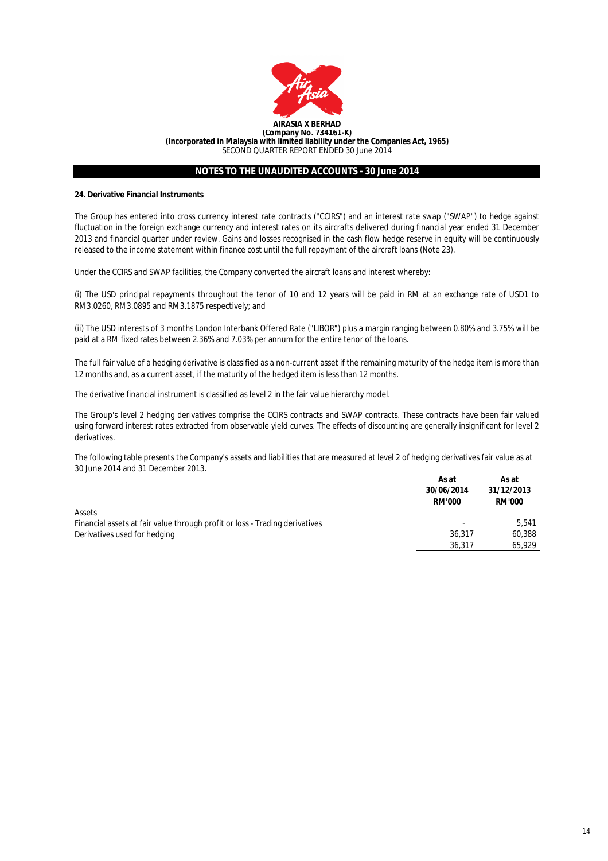

## **24. Derivative Financial Instruments**

The Group has entered into cross currency interest rate contracts ("CCIRS") and an interest rate swap ("SWAP") to hedge against fluctuation in the foreign exchange currency and interest rates on its aircrafts delivered during financial year ended 31 December 2013 and financial quarter under review. Gains and losses recognised in the cash flow hedge reserve in equity will be continuously released to the income statement within finance cost until the full repayment of the aircraft loans (Note 23).

Under the CCIRS and SWAP facilities, the Company converted the aircraft loans and interest whereby:

(i) The USD principal repayments throughout the tenor of 10 and 12 years will be paid in RM at an exchange rate of USD1 to RM3.0260, RM3.0895 and RM3.1875 respectively; and

(ii) The USD interests of 3 months London Interbank Offered Rate ("LIBOR") plus a margin ranging between 0.80% and 3.75% will be paid at a RM fixed rates between 2.36% and 7.03% per annum for the entire tenor of the loans.

The full fair value of a hedging derivative is classified as a non-current asset if the remaining maturity of the hedge item is more than 12 months and, as a current asset, if the maturity of the hedged item is less than 12 months.

The derivative financial instrument is classified as level 2 in the fair value hierarchy model.

The Group's level 2 hedging derivatives comprise the CCIRS contracts and SWAP contracts. These contracts have been fair valued using forward interest rates extracted from observable yield curves. The effects of discounting are generally insignificant for level 2 derivatives.

The following table presents the Company's assets and liabilities that are measured at level 2 of hedging derivatives fair value as at 30 June 2014 and 31 December 2013.

|                                                                             | As at<br>30/06/2014<br><b>RM'000</b> | As at<br>31/12/2013<br><b>RM'000</b> |
|-----------------------------------------------------------------------------|--------------------------------------|--------------------------------------|
| <b>Assets</b>                                                               |                                      |                                      |
| Financial assets at fair value through profit or loss - Trading derivatives | $\overline{\phantom{a}}$             | 5.541                                |
| Derivatives used for hedging                                                | 36.317                               | 60,388                               |
|                                                                             | 36.317                               | 65.929                               |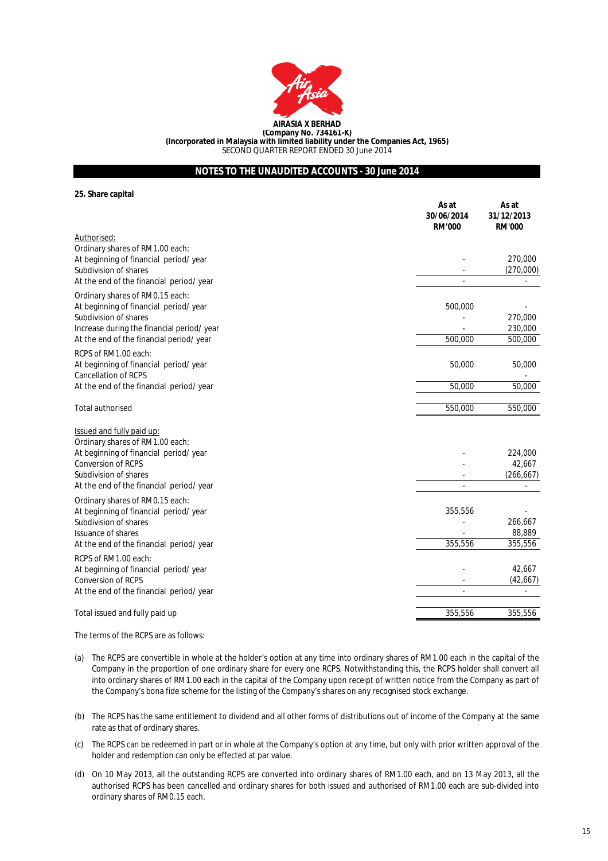

**(Incorporated in Malaysia with limited liability under the Companies Act, 1965)**

SECOND QUARTER REPORT ENDED 30 June 2014

# **NOTES TO THE UNAUDITED ACCOUNTS - 30 June 2014**

**25. Share capital**

|                                            | As at<br>30/06/2014<br><b>RM'000</b> | As at<br>31/12/2013<br><b>RM'000</b> |
|--------------------------------------------|--------------------------------------|--------------------------------------|
| Authorised:                                |                                      |                                      |
| Ordinary shares of RM1.00 each:            |                                      |                                      |
| At beginning of financial period/ year     |                                      | 270,000                              |
| Subdivision of shares                      |                                      | (270,000)                            |
| At the end of the financial period/ year   |                                      |                                      |
| Ordinary shares of RM0.15 each:            |                                      |                                      |
| At beginning of financial period/year      | 500,000                              |                                      |
| Subdivision of shares                      |                                      | 270,000                              |
| Increase during the financial period/ year |                                      | 230,000                              |
| At the end of the financial period/ year   | 500,000                              | 500,000                              |
| RCPS of RM1.00 each:                       |                                      |                                      |
| At beginning of financial period/ year     | 50,000                               | 50,000                               |
| Cancellation of RCPS                       |                                      |                                      |
| At the end of the financial period/ year   | 50,000                               | 50,000                               |
| Total authorised                           | 550,000                              | 550,000                              |
| <b>Issued and fully paid up:</b>           |                                      |                                      |
| Ordinary shares of RM1.00 each:            |                                      |                                      |
| At beginning of financial period/ year     |                                      | 224,000                              |
| Conversion of RCPS                         |                                      | 42,667                               |
| Subdivision of shares                      |                                      | (266, 667)                           |
| At the end of the financial period/ year   |                                      |                                      |
| Ordinary shares of RM0.15 each:            |                                      |                                      |
| At beginning of financial period/year      | 355,556                              |                                      |
| Subdivision of shares                      |                                      | 266,667                              |
| Issuance of shares                         |                                      | 88,889                               |
| At the end of the financial period/ year   | 355,556                              | 355,556                              |
| RCPS of RM1.00 each:                       |                                      |                                      |
| At beginning of financial period/ year     |                                      | 42,667                               |
| Conversion of RCPS                         |                                      | (42, 667)                            |
| At the end of the financial period/ year   |                                      |                                      |
| Total issued and fully paid up             | 355,556                              | 355,556                              |
|                                            |                                      |                                      |

The terms of the RCPS are as follows:

- (a) The RCPS are convertible in whole at the holder's option at any time into ordinary shares of RM1.00 each in the capital of the Company in the proportion of one ordinary share for every one RCPS. Notwithstanding this, the RCPS holder shall convert all into ordinary shares of RM1.00 each in the capital of the Company upon receipt of written notice from the Company as part of the Company's bona fide scheme for the listing of the Company's shares on any recognised stock exchange.
- (b) The RCPS has the same entitlement to dividend and all other forms of distributions out of income of the Company at the same rate as that of ordinary shares.
- (c) The RCPS can be redeemed in part or in whole at the Company's option at any time, but only with prior written approval of the holder and redemption can only be effected at par value.
- (d) On 10 May 2013, all the outstanding RCPS are converted into ordinary shares of RM1.00 each, and on 13 May 2013, all the authorised RCPS has been cancelled and ordinary shares for both issued and authorised of RM1.00 each are sub-divided into ordinary shares of RM0.15 each.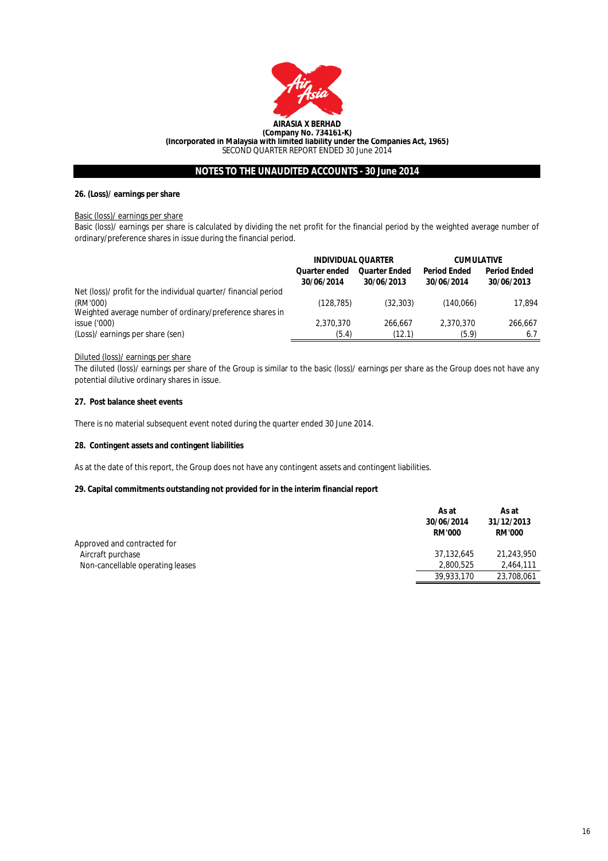

## **26. (Loss)/ earnings per share**

#### Basic (loss)/ earnings per share

Basic (loss)/ earnings per share is calculated by dividing the net profit for the financial period by the weighted average number of ordinary/preference shares in issue during the financial period.

|                                                                 | <b>INDIVIDUAL QUARTER</b>          |                                    | <b>CUMULATIVE</b>                 |                                   |
|-----------------------------------------------------------------|------------------------------------|------------------------------------|-----------------------------------|-----------------------------------|
|                                                                 | <b>Quarter ended</b><br>30/06/2014 | <b>Quarter Ended</b><br>30/06/2013 | <b>Period Ended</b><br>30/06/2014 | <b>Period Ended</b><br>30/06/2013 |
| Net (loss)/ profit for the individual quarter/ financial period |                                    |                                    |                                   |                                   |
| (RM'000)                                                        | (128, 785)                         | (32, 303)                          | (140,066)                         | 17.894                            |
| Weighted average number of ordinary/preference shares in        |                                    |                                    |                                   |                                   |
| issue('000)                                                     | 2,370,370                          | 266.667                            | 2.370.370                         | 266.667                           |
| (Loss)/ earnings per share (sen)                                | (5.4)                              | (12.1)                             | (5.9)                             | 6.7                               |

## Diluted (loss)/ earnings per share

The diluted (loss)/ earnings per share of the Group is similar to the basic (loss)/ earnings per share as the Group does not have any potential dilutive ordinary shares in issue.

#### **27. Post balance sheet events**

There is no material subsequent event noted during the quarter ended 30 June 2014.

#### **28. Contingent assets and contingent liabilities**

As at the date of this report, the Group does not have any contingent assets and contingent liabilities.

## **29. Capital commitments outstanding not provided for in the interim financial report**

|                                  | As at<br>30/06/2014<br><b>RM'000</b> | As at<br>31/12/2013<br><b>RM'000</b> |
|----------------------------------|--------------------------------------|--------------------------------------|
| Approved and contracted for      |                                      |                                      |
| Aircraft purchase                | 37.132.645                           | 21.243.950                           |
| Non-cancellable operating leases | 2.800.525                            | 2.464.111                            |
|                                  | 39,933,170                           | 23,708,061                           |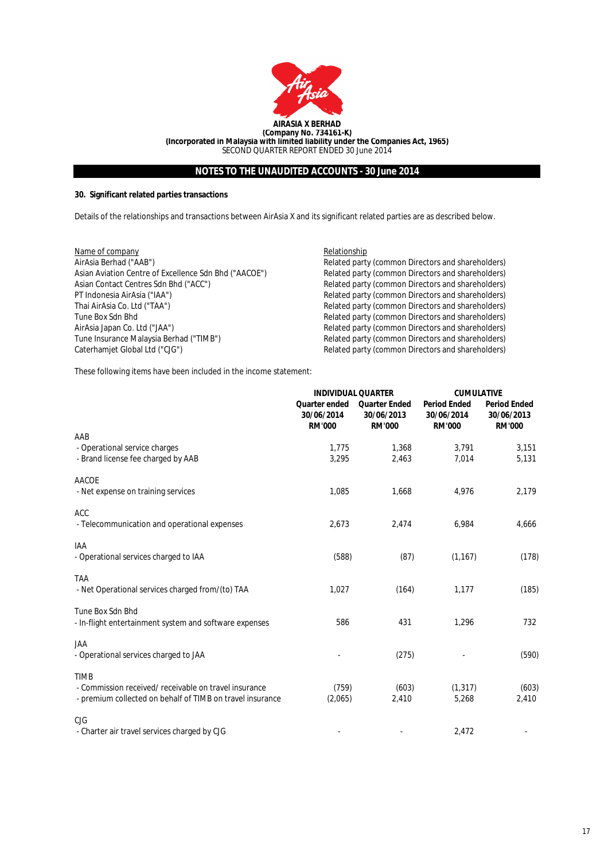

## **30. Significant related parties transactions**

Details of the relationships and transactions between AirAsia X and its significant related parties are as described below.

| Name of company                                       |
|-------------------------------------------------------|
| AirAsia Berhad ("AAB")                                |
| Asian Aviation Centre of Excellence Sdn Bhd ("AACOE") |
| Asian Contact Centres Sdn Bhd ("ACC")                 |
| PT Indonesia AirAsia ("IAA")                          |
| Thai AirAsia Co. Ltd ("TAA")                          |
| Tune Box Sdn Bhd                                      |
| AirAsia Japan Co. Ltd ("JAA")                         |
| Tune Insurance Malaysia Berhad ("TIMB")               |
| Caterhamiet Global Ltd ("CJG")                        |

Relationship

Related party (common Directors and shareholders) Related party (common Directors and shareholders) Related party (common Directors and shareholders) Related party (common Directors and shareholders) Related party (common Directors and shareholders) Related party (common Directors and shareholders) Related party (common Directors and shareholders) Related party (common Directors and shareholders) Caterhamjet Global Ltd ("CJG") Related party (common Directors and shareholders)

These following items have been included in the income statement:

|                                                           | <b>INDIVIDUAL QUARTER</b>                    |                                                     | <b>CUMULATIVE</b>                                  |                                                    |  |
|-----------------------------------------------------------|----------------------------------------------|-----------------------------------------------------|----------------------------------------------------|----------------------------------------------------|--|
|                                                           | Quarter ended<br>30/06/2014<br><b>RM'000</b> | <b>Quarter Ended</b><br>30/06/2013<br><b>RM'000</b> | <b>Period Ended</b><br>30/06/2014<br><b>RM'000</b> | <b>Period Ended</b><br>30/06/2013<br><b>RM'000</b> |  |
| AAB                                                       |                                              |                                                     |                                                    |                                                    |  |
| - Operational service charges                             | 1,775                                        | 1,368                                               | 3,791                                              | 3,151                                              |  |
| - Brand license fee charged by AAB                        | 3.295                                        | 2,463                                               | 7,014                                              | 5,131                                              |  |
| AACOE                                                     |                                              |                                                     |                                                    |                                                    |  |
| - Net expense on training services                        | 1,085                                        | 1,668                                               | 4,976                                              | 2,179                                              |  |
| <b>ACC</b>                                                |                                              |                                                     |                                                    |                                                    |  |
| - Telecommunication and operational expenses              | 2,673                                        | 2,474                                               | 6,984                                              | 4,666                                              |  |
| IAA                                                       |                                              |                                                     |                                                    |                                                    |  |
| - Operational services charged to IAA                     | (588)                                        | (87)                                                | (1, 167)                                           | (178)                                              |  |
| <b>TAA</b>                                                |                                              |                                                     |                                                    |                                                    |  |
| - Net Operational services charged from/(to) TAA          | 1,027                                        | (164)                                               | 1,177                                              | (185)                                              |  |
| Tune Box Sdn Bhd                                          |                                              |                                                     |                                                    |                                                    |  |
| - In-flight entertainment system and software expenses    | 586                                          | 431                                                 | 1,296                                              | 732                                                |  |
| <b>JAA</b>                                                |                                              |                                                     |                                                    |                                                    |  |
| - Operational services charged to JAA                     |                                              | (275)                                               |                                                    | (590)                                              |  |
| <b>TIMB</b>                                               |                                              |                                                     |                                                    |                                                    |  |
| - Commission received/ receivable on travel insurance     | (759)                                        | (603)                                               | (1, 317)                                           | (603)                                              |  |
| - premium collected on behalf of TIMB on travel insurance | (2,065)                                      | 2,410                                               | 5,268                                              | 2,410                                              |  |
| CJG                                                       |                                              |                                                     |                                                    |                                                    |  |
| - Charter air travel services charged by CJG              |                                              |                                                     | 2,472                                              |                                                    |  |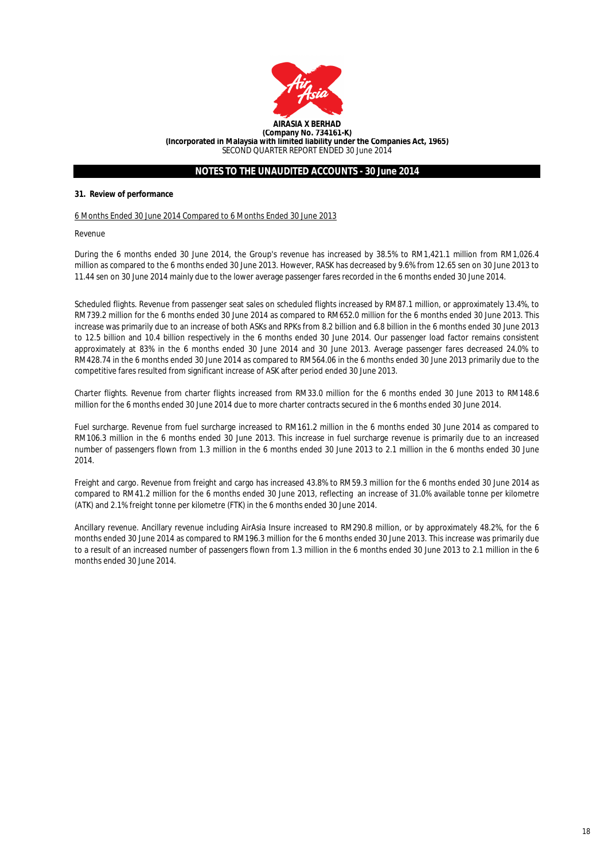

#### **31. Review of performance**

#### 6 Months Ended 30 June 2014 Compared to 6 Months Ended 30 June 2013

Revenue

During the 6 months ended 30 June 2014, the Group's revenue has increased by 38.5% to RM1,421.1 million from RM1,026.4 million as compared to the 6 months ended 30 June 2013. However, RASK has decreased by 9.6% from 12.65 sen on 30 June 2013 to 11.44 sen on 30 June 2014 mainly due to the lower average passenger fares recorded in the 6 months ended 30 June 2014.

Scheduled flights. Revenue from passenger seat sales on scheduled flights increased by RM87.1 million, or approximately 13.4%, to RM739.2 million for the 6 months ended 30 June 2014 as compared to RM652.0 million for the 6 months ended 30 June 2013. This increase was primarily due to an increase of both ASKs and RPKs from 8.2 billion and 6.8 billion in the 6 months ended 30 June 2013 to 12.5 billion and 10.4 billion respectively in the 6 months ended 30 June 2014. Our passenger load factor remains consistent approximately at 83% in the 6 months ended 30 June 2014 and 30 June 2013. Average passenger fares decreased 24.0% to RM428.74 in the 6 months ended 30 June 2014 as compared to RM564.06 in the 6 months ended 30 June 2013 primarily due to the competitive fares resulted from significant increase of ASK after period ended 30 June 2013.

Charter flights. Revenue from charter flights increased from RM33.0 million for the 6 months ended 30 June 2013 to RM148.6 million for the 6 months ended 30 June 2014 due to more charter contracts secured in the 6 months ended 30 June 2014.

Fuel surcharge. Revenue from fuel surcharge increased to RM161.2 million in the 6 months ended 30 June 2014 as compared to RM106.3 million in the 6 months ended 30 June 2013. This increase in fuel surcharge revenue is primarily due to an increased number of passengers flown from 1.3 million in the 6 months ended 30 June 2013 to 2.1 million in the 6 months ended 30 June 2014.

Freight and cargo. Revenue from freight and cargo has increased 43.8% to RM59.3 million for the 6 months ended 30 June 2014 as compared to RM41.2 million for the 6 months ended 30 June 2013, reflecting an increase of 31.0% available tonne per kilometre (ATK) and 2.1% freight tonne per kilometre (FTK) in the 6 months ended 30 June 2014.

Ancillary revenue. Ancillary revenue including AirAsia Insure increased to RM290.8 million, or by approximately 48.2%, for the 6 months ended 30 June 2014 as compared to RM196.3 million for the 6 months ended 30 June 2013. This increase was primarily due to a result of an increased number of passengers flown from 1.3 million in the 6 months ended 30 June 2013 to 2.1 million in the 6 months ended 30 June 2014.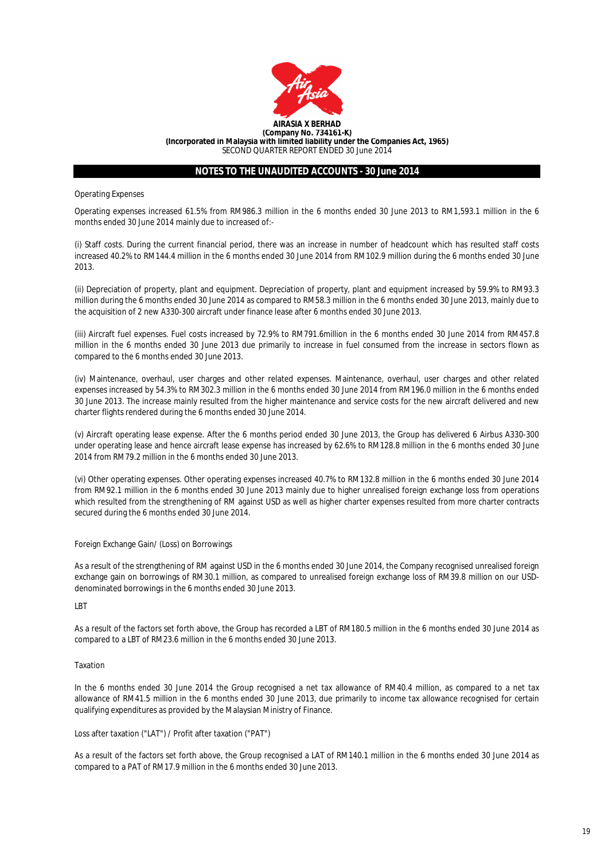

Operating Expenses

Operating expenses increased 61.5% from RM986.3 million in the 6 months ended 30 June 2013 to RM1,593.1 million in the 6 months ended 30 June 2014 mainly due to increased of:-

(i) Staff costs. During the current financial period, there was an increase in number of headcount which has resulted staff costs increased 40.2% to RM144.4 million in the 6 months ended 30 June 2014 from RM102.9 million during the 6 months ended 30 June 2013.

(ii) Depreciation of property, plant and equipment. Depreciation of property, plant and equipment increased by 59.9% to RM93.3 million during the 6 months ended 30 June 2014 as compared to RM58.3 million in the 6 months ended 30 June 2013, mainly due to the acquisition of 2 new A330-300 aircraft under finance lease after 6 months ended 30 June 2013.

(iii) Aircraft fuel expenses. Fuel costs increased by 72.9% to RM791.6million in the 6 months ended 30 June 2014 from RM457.8 million in the 6 months ended 30 June 2013 due primarily to increase in fuel consumed from the increase in sectors flown as compared to the 6 months ended 30 June 2013.

(iv) Maintenance, overhaul, user charges and other related expenses. Maintenance, overhaul, user charges and other related expenses increased by 54.3% to RM302.3 million in the 6 months ended 30 June 2014 from RM196.0 million in the 6 months ended 30 June 2013. The increase mainly resulted from the higher maintenance and service costs for the new aircraft delivered and new charter flights rendered during the 6 months ended 30 June 2014.

(v) Aircraft operating lease expense. After the 6 months period ended 30 June 2013, the Group has delivered 6 Airbus A330-300 under operating lease and hence aircraft lease expense has increased by 62.6% to RM128.8 million in the 6 months ended 30 June 2014 from RM79.2 million in the 6 months ended 30 June 2013.

(vi) Other operating expenses. Other operating expenses increased 40.7% to RM132.8 million in the 6 months ended 30 June 2014 from RM92.1 million in the 6 months ended 30 June 2013 mainly due to higher unrealised foreign exchange loss from operations which resulted from the strengthening of RM against USD as well as higher charter expenses resulted from more charter contracts secured during the 6 months ended 30 June 2014.

## Foreign Exchange Gain/ (Loss) on Borrowings

As a result of the strengthening of RM against USD in the 6 months ended 30 June 2014, the Company recognised unrealised foreign exchange gain on borrowings of RM30.1 million, as compared to unrealised foreign exchange loss of RM39.8 million on our USDdenominated borrowings in the 6 months ended 30 June 2013.

LBT

As a result of the factors set forth above, the Group has recorded a LBT of RM180.5 million in the 6 months ended 30 June 2014 as compared to a LBT of RM23.6 million in the 6 months ended 30 June 2013.

#### Taxation

In the 6 months ended 30 June 2014 the Group recognised a net tax allowance of RM40.4 million, as compared to a net tax allowance of RM41.5 million in the 6 months ended 30 June 2013, due primarily to income tax allowance recognised for certain qualifying expenditures as provided by the Malaysian Ministry of Finance.

#### Loss after taxation ("LAT") / Profit after taxation ("PAT")

As a result of the factors set forth above, the Group recognised a LAT of RM140.1 million in the 6 months ended 30 June 2014 as compared to a PAT of RM17.9 million in the 6 months ended 30 June 2013.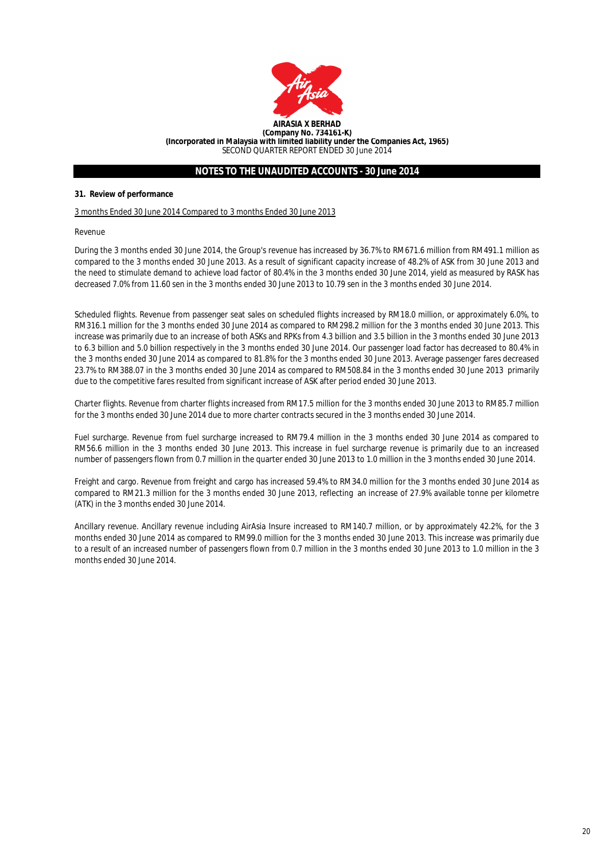

## **31. Review of performance**

3 months Ended 30 June 2014 Compared to 3 months Ended 30 June 2013

Revenue

During the 3 months ended 30 June 2014, the Group's revenue has increased by 36.7% to RM671.6 million from RM491.1 million as compared to the 3 months ended 30 June 2013. As a result of significant capacity increase of 48.2% of ASK from 30 June 2013 and the need to stimulate demand to achieve load factor of 80.4% in the 3 months ended 30 June 2014, yield as measured by RASK has decreased 7.0% from 11.60 sen in the 3 months ended 30 June 2013 to 10.79 sen in the 3 months ended 30 June 2014.

Scheduled flights. Revenue from passenger seat sales on scheduled flights increased by RM18.0 million, or approximately 6.0%, to RM316.1 million for the 3 months ended 30 June 2014 as compared to RM298.2 million for the 3 months ended 30 June 2013. This increase was primarily due to an increase of both ASKs and RPKs from 4.3 billion and 3.5 billion in the 3 months ended 30 June 2013 to 6.3 billion and 5.0 billion respectively in the 3 months ended 30 June 2014. Our passenger load factor has decreased to 80.4% in the 3 months ended 30 June 2014 as compared to 81.8% for the 3 months ended 30 June 2013. Average passenger fares decreased 23.7% to RM388.07 in the 3 months ended 30 June 2014 as compared to RM508.84 in the 3 months ended 30 June 2013 primarily due to the competitive fares resulted from significant increase of ASK after period ended 30 June 2013.

Charter flights. Revenue from charter flights increased from RM17.5 million for the 3 months ended 30 June 2013 to RM85.7 million for the 3 months ended 30 June 2014 due to more charter contracts secured in the 3 months ended 30 June 2014.

Fuel surcharge. Revenue from fuel surcharge increased to RM79.4 million in the 3 months ended 30 June 2014 as compared to RM56.6 million in the 3 months ended 30 June 2013. This increase in fuel surcharge revenue is primarily due to an increased number of passengers flown from 0.7 million in the quarter ended 30 June 2013 to 1.0 million in the 3 months ended 30 June 2014.

Freight and cargo. Revenue from freight and cargo has increased 59.4% to RM34.0 million for the 3 months ended 30 June 2014 as compared to RM21.3 million for the 3 months ended 30 June 2013, reflecting an increase of 27.9% available tonne per kilometre (ATK) in the 3 months ended 30 June 2014.

Ancillary revenue. Ancillary revenue including AirAsia Insure increased to RM140.7 million, or by approximately 42.2%, for the 3 months ended 30 June 2014 as compared to RM99.0 million for the 3 months ended 30 June 2013. This increase was primarily due to a result of an increased number of passengers flown from 0.7 million in the 3 months ended 30 June 2013 to 1.0 million in the 3 months ended 30 June 2014.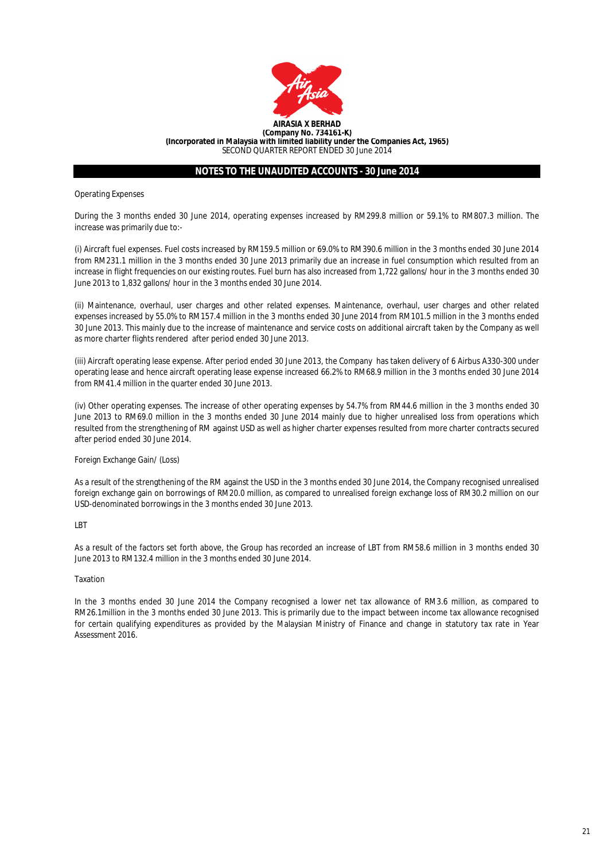

Operating Expenses

During the 3 months ended 30 June 2014, operating expenses increased by RM299.8 million or 59.1% to RM807.3 million. The increase was primarily due to:-

(i) Aircraft fuel expenses. Fuel costs increased by RM159.5 million or 69.0% to RM390.6 million in the 3 months ended 30 June 2014 from RM231.1 million in the 3 months ended 30 June 2013 primarily due an increase in fuel consumption which resulted from an increase in flight frequencies on our existing routes. Fuel burn has also increased from 1,722 gallons/ hour in the 3 months ended 30 June 2013 to 1,832 gallons/ hour in the 3 months ended 30 June 2014.

(ii) Maintenance, overhaul, user charges and other related expenses. Maintenance, overhaul, user charges and other related expenses increased by 55.0% to RM157.4 million in the 3 months ended 30 June 2014 from RM101.5 million in the 3 months ended 30 June 2013. This mainly due to the increase of maintenance and service costs on additional aircraft taken by the Company as well as more charter flights rendered after period ended 30 June 2013.

(iii) Aircraft operating lease expense. After period ended 30 June 2013, the Company has taken delivery of 6 Airbus A330-300 under operating lease and hence aircraft operating lease expense increased 66.2% to RM68.9 million in the 3 months ended 30 June 2014 from RM41.4 million in the quarter ended 30 June 2013.

(iv) Other operating expenses. The increase of other operating expenses by 54.7% from RM44.6 million in the 3 months ended 30 June 2013 to RM69.0 million in the 3 months ended 30 June 2014 mainly due to higher unrealised loss from operations which resulted from the strengthening of RM against USD as well as higher charter expenses resulted from more charter contracts secured after period ended 30 June 2014.

## Foreign Exchange Gain/ (Loss)

As a result of the strengthening of the RM against the USD in the 3 months ended 30 June 2014, the Company recognised unrealised foreign exchange gain on borrowings of RM20.0 million, as compared to unrealised foreign exchange loss of RM30.2 million on our USD-denominated borrowings in the 3 months ended 30 June 2013.

## **LBT**

As a result of the factors set forth above, the Group has recorded an increase of LBT from RM58.6 million in 3 months ended 30 June 2013 to RM132.4 million in the 3 months ended 30 June 2014.

## Taxation

In the 3 months ended 30 June 2014 the Company recognised a lower net tax allowance of RM3.6 million, as compared to RM26.1million in the 3 months ended 30 June 2013. This is primarily due to the impact between income tax allowance recognised for certain qualifying expenditures as provided by the Malaysian Ministry of Finance and change in statutory tax rate in Year Assessment 2016.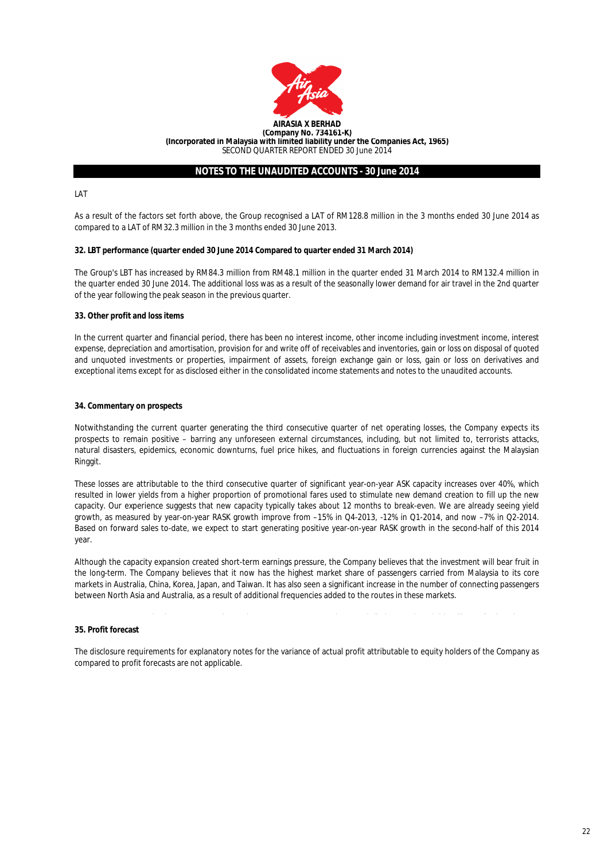

LAT

As a result of the factors set forth above, the Group recognised a LAT of RM128.8 million in the 3 months ended 30 June 2014 as compared to a LAT of RM32.3 million in the 3 months ended 30 June 2013.

## **32. LBT performance (quarter ended 30 June 2014 Compared to quarter ended 31 March 2014)**

The Group's LBT has increased by RM84.3 million from RM48.1 million in the quarter ended 31 March 2014 to RM132.4 million in the quarter ended 30 June 2014. The additional loss was as a result of the seasonally lower demand for air travel in the 2nd quarter of the year following the peak season in the previous quarter.

#### **33. Other profit and loss items**

In the current quarter and financial period, there has been no interest income, other income including investment income, interest expense, depreciation and amortisation, provision for and write off of receivables and inventories, gain or loss on disposal of quoted and unquoted investments or properties, impairment of assets, foreign exchange gain or loss, gain or loss on derivatives and exceptional items except for as disclosed either in the consolidated income statements and notes to the unaudited accounts.

#### **34. Commentary on prospects**

Notwithstanding the current quarter generating the third consecutive quarter of net operating losses, the Company expects its prospects to remain positive – barring any unforeseen external circumstances, including, but not limited to, terrorists attacks, natural disasters, epidemics, economic downturns, fuel price hikes, and fluctuations in foreign currencies against the Malaysian Ringgit.

These losses are attributable to the third consecutive quarter of significant year-on-year ASK capacity increases over 40%, which resulted in lower yields from a higher proportion of promotional fares used to stimulate new demand creation to fill up the new capacity. Our experience suggests that new capacity typically takes about 12 months to break-even. We are already seeing yield growth, as measured by year-on-year RASK growth improve from –15% in Q4-2013, -12% in Q1-2014, and now –7% in Q2-2014. Based on forward sales to-date, we expect to start generating positive year-on-year RASK growth in the second-half of this 2014 year.

Although the capacity expansion created short-term earnings pressure, the Company believes that the investment will bear fruit in the long-term. The Company believes that it now has the highest market share of passengers carried from Malaysia to its core markets in Australia, China, Korea, Japan, and Taiwan. It has also seen a significant increase in the number of connecting passengers between North Asia and Australia, as a result of additional frequencies added to the routes in these markets.

#### **35. Profit forecast**

The disclosure requirements for explanatory notes for the variance of actual profit attributable to equity holders of the Company as compared to profit forecasts are not applicable.